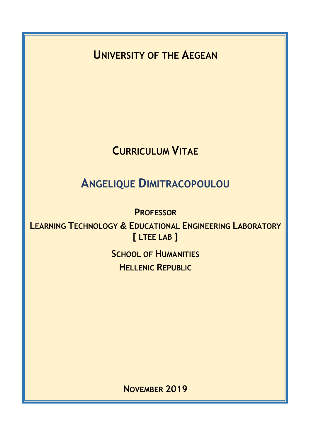**UNIVERSITY OF THE AEGEAN**

## **CURRICULUM VITAE**

# **ANGELIQUE DIMITRACOPOULOU**

**PROFESSOR**

**LEARNING TECHNOLOGY & EDUCATIONAL ENGINEERING LABORATORY [ LTEE LAB ]**

> **SCHOOL OF HUMANITIES HELLENIC REPUBLIC**

> > **NOVEMBER 2019**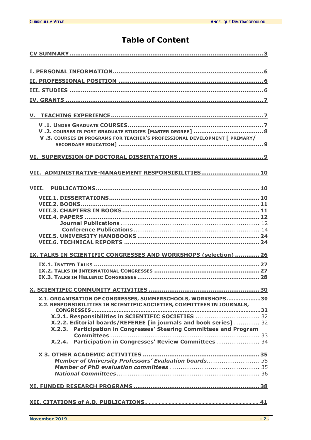## **Table of Content**

| V.3. COURSES IN PROGRAMS FOR TEACHER'S PROFESSIONAL DEVELOPMENT [ PRIMARY/                                                                                                                                                                                                                                                              |  |  |  |
|-----------------------------------------------------------------------------------------------------------------------------------------------------------------------------------------------------------------------------------------------------------------------------------------------------------------------------------------|--|--|--|
|                                                                                                                                                                                                                                                                                                                                         |  |  |  |
| VII. ADMINISTRATIVE-MANAGEMENT RESPONSIBILITIES 10                                                                                                                                                                                                                                                                                      |  |  |  |
| VIII.                                                                                                                                                                                                                                                                                                                                   |  |  |  |
|                                                                                                                                                                                                                                                                                                                                         |  |  |  |
|                                                                                                                                                                                                                                                                                                                                         |  |  |  |
| IX. TALKS IN SCIENTIFIC CONGRESSES AND WORKSHOPS (selection)  26                                                                                                                                                                                                                                                                        |  |  |  |
|                                                                                                                                                                                                                                                                                                                                         |  |  |  |
|                                                                                                                                                                                                                                                                                                                                         |  |  |  |
| X.1. ORGANISATION OF CONGRESSES, SUMMERSCHOOLS, WORKSHOPS30<br>X.2. RESPONSIBILITIES IN SCIENTIFIC SOCIETIES, COMMITTEES IN JOURNALS,<br>X.2.1. Responsibilities in SCIENTIFIC SOCIETIES  32<br>X.2.2. Editorial boards/REFEREE [in journals and book series] 32<br>X.2.3. Participation in Congresses' Steering Committees and Program |  |  |  |
| X.2.4. Participation in Congresses' Review Committees 34                                                                                                                                                                                                                                                                                |  |  |  |
| Member of University Professors' Evaluation boards 35                                                                                                                                                                                                                                                                                   |  |  |  |
|                                                                                                                                                                                                                                                                                                                                         |  |  |  |
|                                                                                                                                                                                                                                                                                                                                         |  |  |  |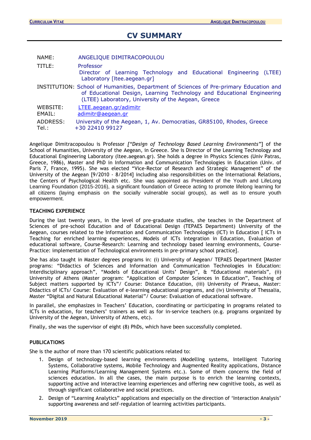## **CV SUMMARY**

<span id="page-2-0"></span>

| NAME:              | ANGELIQUE DIMITRACOPOULOU                                                                                                                                                                                               |  |  |  |
|--------------------|-------------------------------------------------------------------------------------------------------------------------------------------------------------------------------------------------------------------------|--|--|--|
| TITLE:             | Professor<br>Director of Learning Technology and Educational Engineering (LTEE)<br>Laboratory [Itee.aegean.gr]                                                                                                          |  |  |  |
|                    | INSTITUTION: School of Humanities, Department of Sciences of Pre-primary Education and<br>of Educational Design, Learning Technology and Educational Engineering<br>(LTEE) Laboratory, University of the Aegean, Greece |  |  |  |
| WEBSITE:<br>EMAIL: | LTEE.aegean.gr/adimitr<br>adimitr@aegean.gr                                                                                                                                                                             |  |  |  |
| ADDRESS:<br>Tel.:  | University of the Aegean, 1, Av. Democratias, GR85100, Rhodes, Greece<br>+30 22410 99127                                                                                                                                |  |  |  |

Angelique Dimitracopoulou is Professor *["Design of Technology Based Learning Environments"*] of the School of Humanities, University of the Aegean, in Greece. She is Director of the Learning Technology and Educational Engineering Laboratory (ltee.aegean.gr). She holds a degree in Physics Sciences (Univ Patras, Greece, 1986), Master and PhD in Information and Communication Technologies in Education (Univ. of Paris 7, France, 1995). She was elected "Vice-Rector of Research and Strategic Management" of the University of the Aegean [9/2010 - 8/2014] including also responsibilities on the International Relations, the Centers of Psychological Health etc. She was appointed as President of the Youth and LifeLong Learning Foundation (2015-2016), a significant foundation of Greece acting to promote lifelong learning for all citizens (laying emphasis on the socially vulnerable social groups), as well as to ensure youth empowerment.

#### **TEACHING EXPERIENCE**

During the last twenty years, in the level of pre-graduate studies, she teaches in the Department of Sciences of pre-school Education and of Educational Design (TEPAES Department) University of the Aegean, courses related to the Information and Communication Technologies (ICT) in Education [ ICTs in Teaching for enriched learning experiences, Models of ICTs integration in Education, Evaluation of educational software, Course-Research: Learning and technology based learning environments, Course-Practice: implementation of Technological environments in pre-primary school practice].

She has also taught in Master degrees programs in: (i) University of Aegean/ TEPAES Department [Master programs: "Didactics of Sciences and Information and Communication Technologies in Education: Interdisciplinary approach", "Models of Educational Units' Design", & "Educational materials", (ii) University of Athens (Master program: "Application of Computer Sciences in Education", Teaching of Subject matters supported by ICTs"/ Course: Distance Education, (iii) University of Piraeus, Master: Didactics of ICTs/ Course: Evaluation of e-learning educational programs, and (iv) University of Thessalia, Master "Digital and Natural Educational Material"/ Course: Evaluation of educational software.

In parallel, she emphasizes in Teachers' Education, coordinating or participating in programs related to ICTs in education, for teachers' trainers as well as for in-service teachers (e.g. programs organized by University of the Aegean, University of Athens, etc).

Finally, she was the supervisor of eight (8) PhDs, which have been successfully completed.

## **PUBLICATIONS**

She is the author of more than 170 scientific publications related to:

- 1. Design of technology-based learning environments (Modelling systems, Intelligent Tutoring Systems, Collaborative systems, Mobile Technology and Augmented Reality applications, Distance Learning Platforms/Learning Management Systems etc.). Some of them concerns the field of sciences education. In all the cases, the main purpose is to enrich the learning contexts, supporting active and interactive learning experiences and offering new cognitive tools, as well as through significant collaborative and social practices.
- 2. Design of "Learning Analytics" applications and especially on the direction of 'Interaction Analysis' supporting awareness and self-regulation of learning activities participants.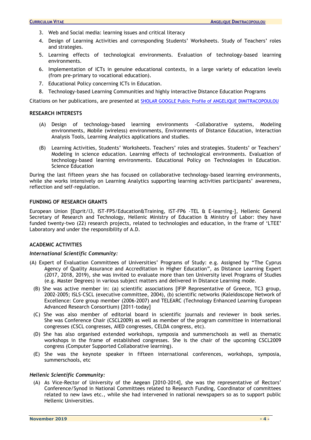- 3. Web and Social media: learning issues and critical literacy
- 4. Design of Learning Activities and corresponding Students' Worksheets. Study of Teachers' roles and strategies.
- 5. Learning effects of technological environments. Evaluation of technology-based learning environments.
- 6. Implementation of ICTs in genuine educational contexts, in a large variety of education levels (from pre-primary to vocational education).
- 7. Educational Policy concerning ICTs in Education.
- 8. Technology-based Learning Communities and highly interactive Distance Education Programs

Citations on her publications, are presented at [SHOLAR GOOGLE Public Profile of ANGELIQUE DIMITRACOPOULOU](https://scholar.google.com/citations?user=vjVYyXwAAAAJ&hl=en)

#### **RESEARCH INTERESTS**

- (A) Design of technology-based learning environments -Collaborative systems, Modeling environments, Mobile (wireless) environments, Environments of Distance Education, Interaction Analysis Tools, Learning Analytics applications and studies.
- (B) Learning Activities, Students' Worksheets. Teachers' roles and strategies. Students' or Teachers' Modeling in science education. Learning effects of technological environments. Evaluation of technology-based learning environments. Educational Policy on Technologies in Education. Science Education

During the last fifteen years she has focused on collaborative technology-based learning environments, while she works intensively on Learning Analytics supporting learning activities participants' awareness, reflection and self-regulation.

#### **FUNDING OF RESEARCH GRANTS**

European Union [Esprit/I3, IST-FP5/Education&Training, IST-FP6 -TEL & E-learning-], Hellenic General Secretary of Research and Technology, Hellenic Ministry of Education & Ministry of Labor: they have funded twenty-two (22) research projects, related to technologies and education, in the frame of 'LTEE' Laboratory and under the responsibility of A.D.

#### **ACADEMIC ACTIVITIES**

#### *International Scientific Community:*

- (A) Expert of Evaluation Committees of Universities' Programs of Study: e.g. Assigned by "The Cyprus Agency of Quality Assurance and Accreditation in Higher Education", as Distance Learning Expert (2017, 2018, 2019), she was invited to evaluate more than ten University level Programs of Studies (e.g. Master Degrees) in various subject matters and delivered in Distance Learning mode.
	- (B) She was active member in: (a) scientific associations [IFIP Representative of Greece, TC3 group, 2002-2005; ΙSLS–CSCL (executive committee, 2004), (b) scientific networks (Kaleidoscope Network of Excellence: Core group member (2006-2007) and TELEARC (Τechnology Enhanced Learning European Advanced Research Consortium) [2011-today]
	- (C) She was also member of editorial board in scientific journals and reviewer in book series. She was Conference Chair (CSCL2009) as well as member of the program committee in international congresses (CSCL congresses, AIED congresses, CELDA congress, etc).
	- (D) She has also organised extended workshops, symposia and summerschools as well as thematic workshops in the frame of established congresses. She is the chair of the upcoming CSCL2009 congress (Computer Supported Collaborative learning).
	- (E) She was the keynote speaker in fifteen international conferences, workshops, symposia, summerschools, etc

#### *Hellenic Scientific Community:*

(A) As Vice-Rector of University of the Aegean [2010-2014], she was the representative of Rectors' Conference/Synod in National Committees related to Research Funding, Coordinator of committees related to new laws etc., while she had intervened in national newspapers so as to support public Hellenic Universities.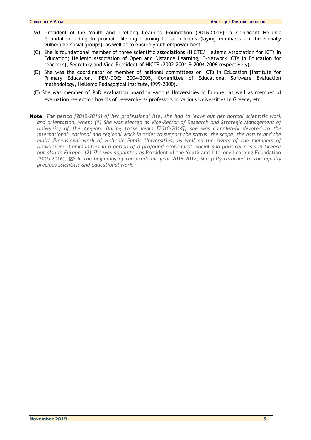- *(B)* President of the Youth and LifeLong Learning Foundation (2015-2016), a significant Hellenic Foundation acting to promote lifelong learning for all citizens (laying emphasis on the socially vulnerable social groups), as well as to ensure youth empowerment.
- (C) She is foundational member of three scientific associations (HICTE/ Hellenic Association for ICTs in Education; Hellenic Association of Open and Distance Learning, E-Network ICTs in Education for teachers), Secretary and Vice-President of HICTE (2002-2004 & 2004-2006 respectively).
- (D) She was the coordinator or member of national committees on ICTs in Education [Institute for Primary Education, IPEM-DOE: 2004-2005, Committee of Educational Software Evaluation methodology, Hellenic Pedagogical Institute,1999-2000).
- (E) She was member of PhD evaluation board in various Universities in Europe, as well as member of evaluation –selection boards of researchers- professors in various Universities in Greece, etc
- **Note:** *The period [2010-2016] of her professional life, she had to leave out her normal scientific work and orientation, when: (1) She was elected as Vice-Rector of Research and Strategic Management of University of the Aegean. During those years [2010-2014], she was completely devoted to the international, national and regional work in order to support the status, the scope, the nature and the*  multi-dimensional work of Hellenic Public Universities, as well as the rights of the members of *Universities' Communities in a period of a profound economical, social and political crisis in Greece but also in Europe. (2) She was appointed as* President of the Youth and LifeLong Learning Foundation (2015-2016). *In the beginning of the academic year 2016-2017, She fully returned to the equally precious scientific and educational work.*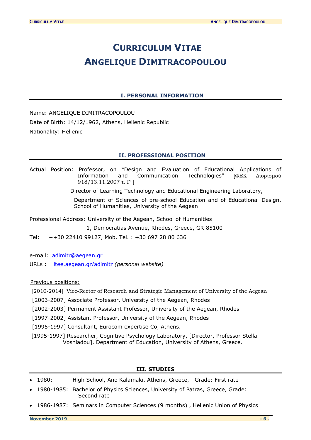## **CURRICULUM VITAE ANGELIQUE DIMITRACOPOULOU**

## **I. PERSONAL INFORMATION**

<span id="page-5-0"></span>Name: ANGELIQUE DIMITRACOPOULOU Date of Birth: 14/12/1962, Athens, Hellenic Republic Nationality: Hellenic

## **II. PROFESSIONAL POSITION**

<span id="page-5-1"></span>Actual Position: Professor, on "Design and Evaluation of Educational Applications of Information and Communication Technologies" [ΦΕΚ Διορισμού 918/13.11.2007 τ. Γ' ]

Director of Learning Technology and Educational Engineering Laboratory,

Department of Sciences of pre-school Education and of Educational Design, School of Humanities, University of the Aegean

Professional Address: University of the Aegean, School of Humanities

1, Democratias Avenue, Rhodes, Greece, GR 85100

Tel: ++30 22410 99127, Mob. Tel. : +30 697 28 80 636

e-mail: [adimitr@aegean.gr](mailto:adimitr@aegean.gr) 

URLs **:** [ltee.aegean.gr/adimitr](http://www.ltee.gr/adimitr) *(personal website)* 

Previous positions:

[2010-2014] Vice-Rector of Research and Strategic Management of University of the Aegean

- [2003-2007] Associate Professor, University of the Aegean, Rhodes
- [2002-2003] Permanent Assistant Professor, University of the Aegean, Rhodes
- [1997-2002] Assistant Professor, University of the Aegean, Rhodes
- [1995-1997] Consultant, Eurocom expertise Co, Athens.

[1995-1997] Researcher, Cognitive Psychology Laboratory, [Director, Professor Stella Vosniadou], Department of Education, University of Athens, Greece.

## **III. STUDIES**

- <span id="page-5-2"></span>• 1980: High School, Ano Kalamaki, Athens, Greece, Grade: First rate
- 1980-1985: Bachelor of Physics Sciences, University of Patras, Greece, Grade: Second rate
- 1986-1987: Seminars in Computer Sciences (9 months) , Hellenic Union of Physics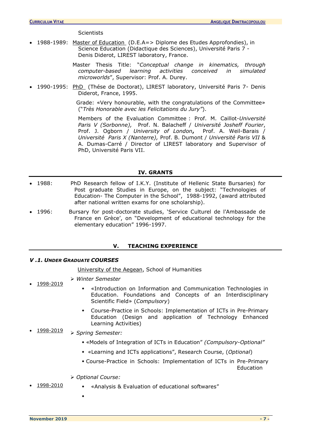**Scientists** 

• 1988-1989: Master of Education (D.E.A=> Diplome des Etudes Approfondies), in Science Education (Didactique des Sciences), Université Paris 7 - Denis Diderot, LIREST laboratory, France.

> Master Thesis Title: "*Conceptual change in kinematics, through computer-based learning activities conceived in simulated microworlds*", Supervisor: Prof. A. Durey.

• 1990-1995: PhD (Thése de Doctorat), LIREST laboratory, Université Paris 7- Denis Diderot, France, 1995.

> Grade: «Very honourable, with the congratulations of the Committee» ("*Très Honorable avec les Felicitations du Jury"*).

> Members of the Evaluation Committee : Prof. M. Caillot-*Université Paris V (Sorbonne),* Prof. N. Balacheff / *Université Josheff Fourier*, Prof. J. Ogborn / *University of London***,** Prof. A. Weil-Barais / *Université Paris X (Nanterre),* Prof. B. Dumont / *Université Paris VII* & A. Dumas-Carré / Director of LIREST laboratory and Supervisor of PhD, Université Paris VII.

#### **IV. GRANTS**

- <span id="page-6-0"></span>• 1988: PhD Research fellow of I.K.Y. (Institute of Hellenic State Bursaries) for Post graduate Studies in Europe, on the subject: "Technologies of Education- The Computer in the School", 1988-1992, (award attributed after national written exams for one scholarship).
- 1996: Bursary for post-doctorate studies, 'Service Culturel de l'Ambassade de France en Grèce', on "Development of educational technology for the elementary education" 1996-1997.

## **V. TEACHING EXPERIENCE**

## <span id="page-6-2"></span><span id="page-6-1"></span>*V .1. UNDER GRADUATE COURSES*

University of the Aegean, School of Humanities

- ➢ *Winter Semester*
	- «Introduction on Information and Communication Technologies in Education. Foundations and Concepts of an Interdisciplinary Scientific Field» (*Compulsory*)
	- Course-Practice in Schools: Implementation of ICTs in Pre-Primary Education (Design and application of Technology Enhanced Learning Activities)
- 1998-2019 ➢ *Spring Semester:*
	- «Models of Integration of ICTs in Education" *(Compulsory-Optional"*
	- «Learning and ICTs applications", Research Course, (*Optional*)
	- Course-Practice in Schools: Implementation of ICTs in Pre-Primary **Education**
	- ➢ *Optional Course:*
	- 1998-2010 «Analysis & Evaluation of educational softwares"
		- $\bullet$

• 1998-2019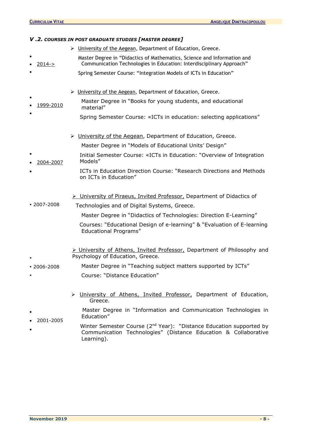<span id="page-7-0"></span>

| V.2. COURSES IN POST GRADUATE STUDIES [MASTER DEGREE] |                                                                                                                                                                  |  |  |  |  |
|-------------------------------------------------------|------------------------------------------------------------------------------------------------------------------------------------------------------------------|--|--|--|--|
|                                                       | > University of the Aegean, Department of Education, Greece.                                                                                                     |  |  |  |  |
| $2014 - >$                                            | Master Degree in "Didactics of Mathematics, Science and Information and<br>Communication Technologies in Education: Interdisciplinary Approach"                  |  |  |  |  |
|                                                       | Spring Semester Course: "Integration Models of ICTs in Education"                                                                                                |  |  |  |  |
|                                                       | > University of the Aegean, Department of Education, Greece.                                                                                                     |  |  |  |  |
| 1999-2010                                             | Master Degree in "Books for young students, and educational<br>material"                                                                                         |  |  |  |  |
|                                                       | Spring Semester Course: «ICTs in education: selecting applications"                                                                                              |  |  |  |  |
|                                                       | > University of the Aegean, Department of Education, Greece.                                                                                                     |  |  |  |  |
|                                                       | Master Degree in "Models of Educational Units' Design"                                                                                                           |  |  |  |  |
| 2004-2007                                             | Initial Semester Course: «ICTs in Education: "Overview of Integration<br>Models"                                                                                 |  |  |  |  |
|                                                       | ICTs in Education Direction Course: "Research Directions and Methods<br>on ICTs in Education"                                                                    |  |  |  |  |
| $\cdot$ 2007-2008                                     | > University of Piraeus, Invited Professor, Department of Didactics of<br>Technologies and of Digital Systems, Greece.                                           |  |  |  |  |
|                                                       | Master Degree in "Didactics of Technologies: Direction E-Learning"                                                                                               |  |  |  |  |
|                                                       | Courses: "Educational Design of e-learning" & "Evaluation of E-learning<br><b>Educational Programs"</b>                                                          |  |  |  |  |
|                                                       | > University of Athens, Invited Professor, Department of Philosophy and<br>Psychology of Education, Greece.                                                      |  |  |  |  |
| $\cdot$ 2006-2008                                     | Master Degree in "Teaching subject matters supported by ICTs"                                                                                                    |  |  |  |  |
|                                                       | Course: "Distance Education"                                                                                                                                     |  |  |  |  |
|                                                       | University of Athens, Invited Professor, Department of Education,<br>Greece.                                                                                     |  |  |  |  |
| 2001-2005                                             | Master Degree in "Information and Communication Technologies in<br>Education"                                                                                    |  |  |  |  |
|                                                       | Winter Semester Course (2 <sup>nd</sup> Year): "Distance Education supported by<br>Communication Technologies" (Distance Education & Collaborative<br>Learning). |  |  |  |  |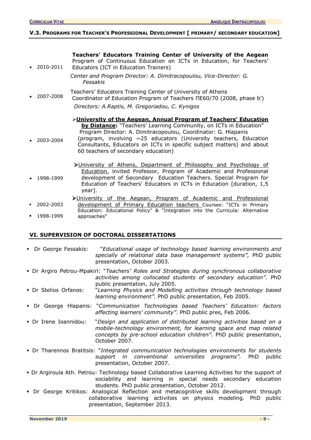## <span id="page-8-1"></span><span id="page-8-0"></span>**V.3. PROGRAMS FOR TEACHER'S PROFESSIONAL DEVELOPMENT [ PRIMARY/ SECONDARY EDUCATION]**

**Teachers' Educators Training Center of University of the Aegean** 

| 2010-2011 | Program of Continuous Education on ICTs in Education, for Teachers'<br>Educators (ICT in Education Trainers)                                                                                                                                                                                                                                                                                              |
|-----------|-----------------------------------------------------------------------------------------------------------------------------------------------------------------------------------------------------------------------------------------------------------------------------------------------------------------------------------------------------------------------------------------------------------|
|           | Center and Program Director: A. Dimitracopoulou, Vice-Director: G.<br>Fessakis                                                                                                                                                                                                                                                                                                                            |
| 2007-2008 | Teachers' Educators Training Center of University of Athens<br>Coordinator of Education Program of Teachers NE60/70 (2008, phase b')                                                                                                                                                                                                                                                                      |
|           | Directors: A.Raptis, M. Gregoriadou, C. Kynigos                                                                                                                                                                                                                                                                                                                                                           |
| 2003-2004 | >University of the Aegean, Annual Program of Teachers' Education<br><b>by Distance:</b> "Teachers' Learning Community, on ICTs in Education"<br>Program Director: A. Dimitracopoulou, Coordinator: G. Hlapanis<br>(program, involving $\sim$ 25 educators (University teachers, Education<br>Consultants, Educators on ICTs in specific subject matters) and about<br>60 teachers of secondary education) |
| 1998-1999 | >University of Athens, Department of Philosophy and Psychology of<br>Education, invited Professor, Program of Academic and Professional<br>development of Secondary Education Teachers. Special Program for<br>Education of Teachers' Educators in ICTs in Education [duration, 1,5<br>year].                                                                                                             |
| 2002-2003 | >University of the Aegean, Program of Academic and Professional<br>development of Primary Education teachers Courses: "ICTs in Primary                                                                                                                                                                                                                                                                    |

▪ 1998-1999 Education: Educational Policy" & "Integration into the Curricula: Alternative approaches"

## **VI. SUPERVISION OF DOCTORAL DISSERTATIONS**

| • Dr George Fessakis: | "Educational usage of technology based learning environments and<br>specially of relational data base management systems", PhD public<br>presentation, October 2003.                                                                |
|-----------------------|-------------------------------------------------------------------------------------------------------------------------------------------------------------------------------------------------------------------------------------|
|                       | • Dr Argiro Petrou-Mpakiri: "Teachers' Roles and Strategies during synchronous collaborative<br>activities among collocated students of secondary education". PhD<br>public presentation, July 2005.                                |
| • Dr Stelios Orfanos: | "Learning Physics and Modelling activities through technology based<br>learning environment". PhD public presentation, Feb 2005.                                                                                                    |
|                       | • Dr George Hlapanis: "Communication Technologies based Teachers' Education: factors<br>affecting learners' community". PhD public pres, Feb 2006.                                                                                  |
| • Dr Irene Ioannidou: | "Design and application of distributed learning activities based on a<br>mobile-technology environment, for learning space and map related<br>concepts by pre-school education children". PhD public presentation,<br>October 2007. |
|                       | • Dr Tharennos Bratitsis: "Integrated communication technologies environments for students<br>support in conventional universities programs". PhD<br>public<br>presentation, October 2007.                                          |
|                       | • Dr Argiroula Ath. Petrou: Technology based Collaborative Learning Activities for the support of<br>sociability and learning in special needs secondary education<br>students. PhD public presentation, October 2012.              |

 Dr George Kritikos: Analogical Reflection and metacognitive skills development through collaborative learning activities on physics modeling. PhD public presentation, September 2013.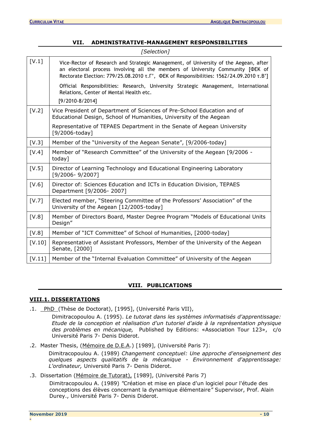<span id="page-9-0"></span>

|        | [Selection]                                                                                                                                                                                                                                                        |
|--------|--------------------------------------------------------------------------------------------------------------------------------------------------------------------------------------------------------------------------------------------------------------------|
| [V.1]  | Vice-Rector of Research and Strategic Management, of University of the Aegean, after<br>an electoral process involving all the members of University Community [ФЕК of<br>Rectorate Election: 779/25.08.2010 T. I', ФЕК of Responsibilities: 1562/24.09.2010 T.B'] |
|        | Official Responsibilities: Research, University Strategic Management, International<br>Relations, Center of Mental Health etc.                                                                                                                                     |
|        | $[9/2010-8/2014]$                                                                                                                                                                                                                                                  |
| [V.2]  | Vice President of Department of Sciences of Pre-School Education and of<br>Educational Design, School of Humanities, University of the Aegean                                                                                                                      |
|        | Representative of TEPAES Department in the Senate of Aegean University<br>[9/2006-today]                                                                                                                                                                           |
| [V.3]  | Member of the "University of the Aegean Senate", [9/2006-today]                                                                                                                                                                                                    |
| [V.4]  | Member of "Research Committee" of the University of the Aegean [9/2006 -<br>today]                                                                                                                                                                                 |
| [V.5]  | Director of Learning Technology and Educational Engineering Laboratory<br>[9/2006-9/2007]                                                                                                                                                                          |
| [V.6]  | Director of: Sciences Education and ICTs in Education Division, TEPAES<br>Department [9/2006-2007]                                                                                                                                                                 |
| [V.7]  | Elected member, "Steering Committee of the Professors' Association" of the<br>University of the Aegean [12/2005-today]                                                                                                                                             |
| [V.8]  | Member of Directors Board, Master Degree Program "Models of Educational Units<br>Design"                                                                                                                                                                           |
| [V.8]  | Member of "ICT Committee" of School of Humanities, [2000-today]                                                                                                                                                                                                    |
| [V.10] | Representative of Assistant Professors, Member of the University of the Aegean<br>Senate, [2000]                                                                                                                                                                   |
| [V.11] | Member of the "Internal Evaluation Committee" of University of the Aegean                                                                                                                                                                                          |

## **VII. ADMINISTRATIVE-MANAGEMENT RESPONSIBILITIES**

## **VIII. PUBLICATIONS**

## <span id="page-9-2"></span><span id="page-9-1"></span>**VIII.1. DISSERTATIONS**

.1. PhD (Thèse de Doctorat), [1995], (Université Paris VII),

Dimitracopoulou A. (1995). *Le tutorat dans les systèmes informatisés d'apprentissage: Etude de la conception et réalisation d'un tutoriel d'aide à la représentation physique des problèmes en mécanique,* Published by Editions: «Association Tour 123», c/o Université Paris 7- Denis Diderot.

.2. Master Thesis, (Mémoire de D.E.A.) [1989], (Université Paris 7):

Dimitracopoulou A. (1989) *Changement conceptuel: Une approche d'enseignement des quelques aspects qualitatifs de la mécanique - Environnement d'apprentissage: L'ordinateur,* Université Paris 7- Denis Diderot.

.3. Dissertation (Mémoire de Tutorat), [1989], (Université Paris 7)

Dimitracopoulou A. (1989) *"*Création et mise en place d'un logiciel pour l'étude des conceptions des élèves concernant la dynamique élémentaire*"* Supervisor, Prof. Alain Durey., Université Paris 7- Denis Diderot.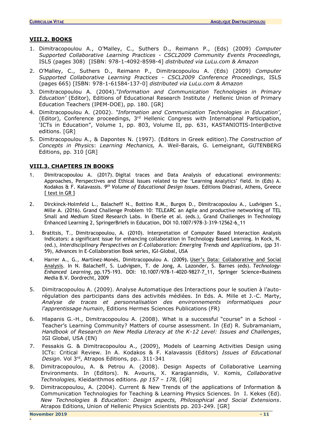## <span id="page-10-0"></span>**VIII.2. BOOKS**

- 1. Dimitracopoulou A., O'Malley, C., Suthers D., Reimann P., (Eds) (2009) *Computer Supported Collaborative Learning Practices - CSCL2009 Community Events Proceedings,* ISLS (pages 308) [ISBN: 978-1-4092-8598-4] *distributed via LuLu.com & Amazon*
- 2. O'Malley, C., Suthers D., Reimann P., Dimitracopoulou A. (Eds) (2009) *Computer Supported Collaborative Learning Practices - CSCL2009 Conference Proceedings*, ISLS (pages 665) [ISBN: 978-1-61584-137-0] *distributed via LuLu.com & Amazon*
- 3. Dimitracopoulou A. (2004).*"Information and Communication Technologies in Primary Education'* (Editor), Editions of Educational Research Institute / Hellenic Union of Primary Education Teachers (IPEM-DOE), pp. 180. [GR]
- 4. Dimitracopoulou A. (2002). *"Information and Communication Technologies in Education'*, (Editor), Conference proceedings, 3rd Hellenic Congress with International Participation, 'ICTs in Education", Volume 1, pp. 803, Volume II, pp. 631, KASTANIOTIS-Inter@ctive editions. [GR]
- 5. Dimitracopoulou A., & Dapontes N. (1997). (Editors in Greek edition).*The Construction of Concepts in Physic*s: *Learning Mechanics,* A. Weil-Barais, G. Lemeignant, GUTENBERG Editions, pp. 310 [GR]

## <span id="page-10-1"></span>**VIII.3. CHAPTERS IN BOOKS**

- 1. Dimitracopoulou A. (2017). Digital traces and Data Analysis of educational environments: Approaches, Perspectives and Ethical Issues related to the 'Learning Analytics' field. In (Eds) A. Kodakos & F. Kalavassis. *9 th Volume of Educational Design Issues*. Editions Diadrasi, Athens, Greece [ text in GR ]
- 2. Dirckinck-Holmfeld L., Balacheff N., Bottino R.M., Burgos D., Dimitracopoulou A., Ludvigsen S., Mille A. (2016). Grand Challenge Problem 10: TELEARC an Agile and productive networking of TEL Small and Medium Sized Research Labs. In Eberle et al. (eds.), Grand Challenges in Technology Enhanced Learning 2, SpringerBriefs in Education, DOI 10.1007/978-3-319-12562-6\_11
- 3. Bratitsis, T., Dimitracopoulou, A. (2010). Interpretation of Computer Based Interaction Analysis Indicators: a significant issue for enhancing collaboration in Technology Based Learning. In Kock, N. (ed.), *Interdisciplinary Perspectives on E-Collaboration: Emerging Trends and Applications*, (pp 31- 59), Advances in E-Collaboration Book series, IGI-Global, USA
- 4. Harrer A., G., Martínez-Monés, Dimitracopoulou A. (2009**).** [User's Data: Collaborative and Social](http://ltee.aegean.gr/adimitr/wp-content/uploads/sites/8/2017/07/Users_Data_Harrer_Martinez_Dimitracopoulou_2009.pdf)  [Analysis.](http://ltee.aegean.gr/adimitr/wp-content/uploads/sites/8/2017/07/Users_Data_Harrer_Martinez_Dimitracopoulou_2009.pdf) In N. Balacheff, S. Ludvigsen, T. de Jong, A. Lazonder, S. Barnes (eds). *Technology-Enhanced Learning,* pp.175-193. DOI: 10.1007/978-1-4020-9827-7\_11, Springer Science+Business Media B.V. Dordrecht, 2009
- 5. Dimitracopoulou Α. (2009). Analyse Automatique des Interactions pour le soutien à l'autorégulation des participants dans des activités médiées. In Eds. A. Mille et J.-C. Marty, *Analyse de traces et personnalisation des environnements informatiques pour l'apprentissage humain*, Editions Hermes Sciences Publications (FR)
- 6. Hlapanis G.-H., Dimitracopoulou A. (2008). What is a successful "course" in a School Teacher's Learning Community? Matters of course assessment. In (Ed) R. Subramaniam, *Handbook of Research on New Media Literacy at the K-12 Level: Issues and Challenges*, IGI Global, USA (EN)
- 7. Fessakis G. & Dimitracopoulou Α., (2009), Models of Learning Activities Design using ICTs: Critical Review. In A. Kodakos & F. Kalavassis (Editors) *Issues of Educational*  Design. Vol 3<sup>rd</sup>, Atrapos Editions, pp.. 311-341
- 8. Dimitracopoulou, Α. & Petrou Α. (2008). Design Aspects of Collaborative Learning Environments. In (Editors). Ν. Αvouris, Χ. Κaragiannidis, V. Κomis, *Collaborative Technologies,* Kleidarithmos editions. *pp 157 – 178,* [GR]
- 9. Dimitracopoulou, A. (2004). Current & New Trends of the applications of Information & Communication Technologies for Teaching & Learning Physics Sciences. In Ι. Κekes (Ed). *New Technologies & Education: Design aspects, Philosophical and Social Extensions*. Atrapos Editions, Union of Hellenic Physics Scientists pp. 203-249. [GR]

**-**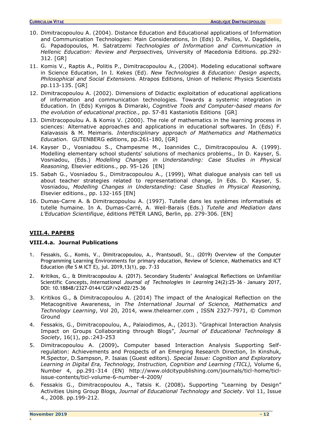- 10. Dimitracopoulou A. (2004). Distance Education and Educational applications of Information and Communication Technologies: Main Considerations, In (Eds) D. Psillos, V. Dagdidelis, G. Papadopoulos, M. Satratzemi *Technologies of Information and Communication in Hellenic Education: Review and Perpsectives,* University of Macedonia Editions. pp.292- 312. [GR]
- 11. Komis V., Raptis A., Politis P., Dimitracopoulou A., (2004). Modeling educational software in Science Education, In Ι. Κekes (Ed). *New Technologies & Education: Design aspects, Philosophical and Social Extensions.* Atrapos Editions, Union of Hellenic Physics Scientists pp.113-135. [GR]
- 12. Dimitracopoulou A. (2002). Dimensions of Didactic exploitation of educational applications of information and communication technologies. Towards a systemic integration in Education. In (Eds) Kynigos & Dimaraki, *Cognitive Tools and Computer-based means for the evolution of educational practice.,* pp. 57-81 Kastaniotis Editions [GR]
- 13. Dimitracopoulou A. & Komis V. (2000). The role of mathematics in the learning process in sciences: Alternative approaches and applications in educational softwares. In (Eds) F. Kalavassis & M. Meimaris. *Interdisciplinary approach of Mathematics and Mathematics Education.* GUTENBERG editions, pp.261-180, [GR]
- 14. Kayser D., Vosniadou S., Champesme M., Ioannides C., Dimitracopoulou A. (1999). Modelling elementary school students' solutions of mechanics problems.*,* In D. Kayser, S. Vosniadou, (Eds.) *Modelling Changes in Understanding: Case Studies in Physical Reasoning,* Elsevier editions., pp. 95-126 [EN]
- 15. Sabah G., Vosniadou S., Dimitracopoulou A., (1999), What dialogue analysis can tell us about teacher strategies related to representational change*,* In Eds. D. Kayser, S. Vosniadou, *Modelling Changes in Understanding: Case Studies in Physical Reasoning,* Elsevier editions., pp. 132-165 [EN]
- 16. Dumas-Carre A. & Dimitracopoulou A. (1997). Tutelle dans les systèmes informatisés et tutelle humaine. In A. Dumas-Carré, A. Weil-Barais (Eds.) *Tutelle and Mediation dans L'Education Scientifique*, éditions PETER LANG, Berlin, pp. 279-306. [EN]

## <span id="page-11-0"></span>**VIII.4. PAPERS**

## <span id="page-11-1"></span>**VIII.4.a. Journal Publications**

- 1. Fessakis, G., Komis, V., Dimitracopoulou, A., Prantsoudi, St., (2019) Overview of the Computer Programming Learning Environments for primary education, Review of Science, Mathematics and ICT Education (Re S M ICT E), jul. 2019,13(1), pp. 7-33
- 2. Kritikos, G., & Dimitracopoulou A. (2017). Secondary Students' Analogical Reflections on Unfamiliar Scientific Concepts*, International Journal of Technologies in Learning* 24(2):25-36 · January 2017, DOI: 10.18848/2327-0144/CGP/v24i02/25-36
- 3. Kritikos G., & Dimitracopoulou A. (2014) The impact of the Analogical Reflection on the Metacognitive Awareness, in *The International Journal of Science, Mathematics and Technology Learning*, Vol 20, 2014, www.thelearner.com , ISSN 2327-7971, © Common Ground
- 4. Fessakis, G., Dimitracopoulou, A., Palaiodimos, A., (2013). "Graphical Interaction Analysis Impact on Groups Collaborating through Blogs", *Journal of Educational Technology & Society*, 16(1), pp.:243-253
- 5. Dimitracopoulou A. (2009)**.** Computer based Interaction Analysis Supporting Selfregulation: Achievements and Prospects of an Emerging Research Direction, In Kinshuk, M.Spector, D.Sampson, P. Isaias (Guest editors). *Special Issue: Cognition and Exploratory Learning in Digital Era, Technology, Instruction, Cognition and Learning (TICL),* Volume 6, Number 4, pp.291-314 (EN) http://www.oldcitypublishing.com/journals/ticl-home/ticlissue-contents/ticl-volume-6-number-4-2009/
- 6. Fessakis G., Dimitracopoulou A., Tatsis K. (2008)**.** Supporting "Learning by Design" Activities Using Group Blogs, *Journal of Educational Technology and Society*. Vol 11, Issue 4., 2008. pp.199-212.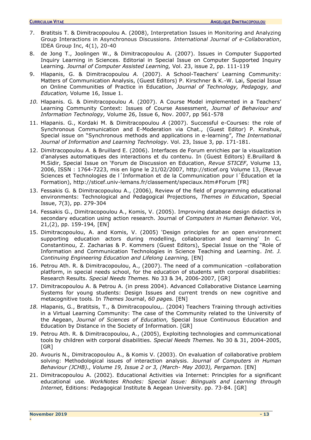- 7. Bratitsis T. & Dimitracopoulou A. (2008), Interpretation Issues in Monitoring and Analyzing Group Interactions in Asynchronous Discussions*. International Journal of e-Collaboration*, IDEA Group Inc, 4(1), 20-40
- 8. de Jong T., Joolingen W., & Dimitracopoulou A. (2007). Issues in Computer Supported Inquiry Learning in Sciences. Editorial in Special Issue on Computer Supported Inquiry Learning*. Journal of Computer Assisted Learning,* Vol. 23, issue 2, pp. 111-119
- 9. Hlapanis, G. & Dimitracopoulou *A.* (2007). A School-Teachers' Learning Community: Matters of Communication Analysis, (Guest Editors) P. Kirschner & K.-W. Lai, Special Issue on Online Communities of Practice in Education, *Journal of Technology, Pedagogy, and Education,* Volume 16, Issue 1.
- *10.* Hlapanis. G. & Dimitracopoulou *A.* (2007). A Course Model implemented in a Teachers' Learning Community Context: Issues of Course Assessment, *Journal of Behaviour and Information Technology,* Volume 26, Issue 6, Nov. 2007, pp 561-578
- 11. Hlapanis. G., Kordaki M. & Dimitracopoulou *A* (2007). Successful e-Courses: the role of Synchronous Communication and E-Moderation via Chat., (Guest Editor) P. Kinshuk, Special issue on "Synchronous methods and applications in e-learning", *The International Journal of Information and Learning Technology.* Vol. 23, Issue 3, pp. 171-181.
- 12. Dimitracopoulou *A.* & Bruillard E. (2006). Interfaces de Forum enrichies par la visualization d'analyses automatiques des interactions et du contenu. In (Guest Editors) E.Bruillard & M.Sidir, Special Issue on 'Forum de Discussion en Education, *Revue STICEF*, Volume 13, 2006, ISSN : 1764-7223, mis en ligne le 21/02/2007, http://sticef.org Volume 13, (Revue Sciences et Technologies de l´Information et de la Communication pour l´Éducation et la Formation), http://sticef.univ-lemans.fr/classement/speciaux.htm#Forum [FR]
- 13. Fessakis G. & Dimitracopoulou Α., (2006), Review of the field of programming educational environments: Technological and Pedagogical Projections, *Themes in Education*, Special Issue, 7(3), pp. 279-304
- 14. Fessakis G., Dimitracopoulou A., Komis, V. (2005). Improving database design didactics in secondary education using action research. Journal of *Computers in Human Behavior.* Vol, 21,(2), pp. 159-194*,* [EN]
- 15. Dimitracopoulou, A. and Komis, V. (2005) 'Design principles for an open environment supporting education actors during modelling, collaboration and learning' In C. Constantinou, Z. Zacharias & P. Kommers (Guest Editors), Special Issue on the "Role of Information and Communication Technologies in Science Teaching and Learning. *Int. J. Continuing Engineering Education and Lifelong Learning,* [EN]
- 16. Petrou Αth. R. & Dimitracopoulou, A., (2007). The need of a communication –collaboration platform, in special needs school, for the education of students with corporal disabilities: Research Results. *Special Needs Themes.* No 33 & 34, 2006-2007, [GR]
- 17. Dimitracopoulou A. & Petrou A. (in press 2004). Advanced Collaborative Distance Learning Systems for young students: Design Issues and current trends on new cognitive and metacognitive tools. In *Themes* Journal, *60 pages.* [EN]
- *18.* Hlapanis, G., Bratitsis, T., & Dimitracopoulou,. (2004) Teachers Training through activities in a Virtual Learning Community: The case of the Community related to the University of the Aegean, *Journal of Sciences of Education,* Special Issue Continuous Education and Education by Distance in the Society of Information. [GR]
- 19. Petrou Αth. R. & Dimitracopoulou, A., (2005), Exploiting technologies and communicational tools by children with corporal disabilities. *Special Needs Themes.* No 30 & 31, 2004-2005, [GR]
- 20. Avouris N., Dimitracopoulou A., & Komis V. (2003). On evaluation of collaborative problem solving: Methodological issues of interaction analysis. *Journal of Computers in Human Behaviour (JCHB)., Volume 19, Issue 2 or 3, (March- May 2003), Pergamon.* [EN]
- 21. Dimitracopoulou A. (2002). Educational Activities via Internet: Principles for a significant educational use*. WorkNotes Rhodes: Special Issue: Bilinguals and Learning through Internet,* Editions: Pedagogical Institute & Aegean University. pp. 73-84. [GR]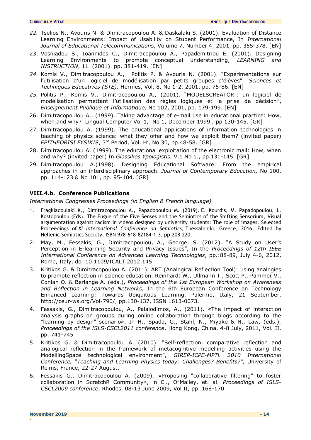- *22.* Tselios N., Avouris N. & Dimitracopoulou A. & Daskalaki S. (2001). Evaluation of Distance Learning Environments: Impact of Usability on Student Performance, In *International Journal of Educational Telecommunications*, Volume 7, Number 4, 2001, pp. 355-378. [EN]
- 23. Vosniadou S., Ioannides C., Dimitracopoulou A., Papademitriou E. (2001). Designing Learning Environments to promote conceptual understanding, *LEARNING and INSTRUCTION*, 11 (2001). pp. 381-419. [EN]
- *24.* Komis V., Dimitracopoulou A., Politis P. & Avouris N. (2001). "Expérimentations sur l'utilisation d'un logiciel de modélisation par petits groupes d'élèves", *Sciences et Τechniques Εducatives (STE),* Hermes, Vol. 8, No 1-2, 2001, pp. 75-86. [EN]
- *25.* Politis P., Komis V., Dimitracopoulou A., (2001). "MODELSCREATOR : un logiciel de modélisation permettant l'utilisation des règles logiques et la prise de décision", *Enseignement Publique et Informatique,* Νο 102, 2001, pp. 179-199. [EN]
- 26. Dimitracopoulou A., (1999). Taking advantage of e-mail use in educational practice: How, when and why? Lingual Computer Vol 1, No 1, December 1999., pp 130-145. [GR]
- 27. Dimitracopoulou A. (1999). The educational applications of information technologies in teaching of physics science: what they offer and how we exploit them? (invited paper) *EPITHEORISI FYSIKIS*, 3rd Period, Vol. H', No 30, pp.48-58. [GR]
- 28. Dimitracopoulou A. (1999). The educational exploitation of the electronic mail: How, when and why? (invited paper) In *Glossikos Ypologistis*, V.1 No 1., pp.131-145. [GR]
- 29. Dimitracopoulou A.(1998). Designing Educational Software: From the empirical approaches in an interdisciplinary approach. *Journal of Contemporary Education,* No 100, pp. 114-123 & No 101, pp. 95-104. [GR]

## <span id="page-13-0"></span>**VIII.4.b. Conference Publications**

*International Congresses Proceedings (in English & French language)*

- 1. Fragkiadoulaki K., Dimitracopoulou A., Papadopoulou M. (2019). E. Kourdis, M. Papadopoulou, L. Kostopoulou (Eds). The Fugue of the Five Senses and the Semiotics of the Shifting Sensorium, Visual argumentation against racism in videos designed by university students: The role of images. Selected Proceedings of *XI International Conference on Semiotics,* Thessaloniki, Greece, 2016, Edited by Hellenic Semiotics Society, ISBN 978-618-82184-1-3, pp.208-220.
- 2. May, M., Fessakis, G., Dimitracopoulou, A., George, S. (2012). "A Study on User's Perception in E-learning Security and Privacy Issues", In the *Proceedings of 12th IEEE International Conference on Advanced Learning Technologies*, pp.:88-89, July 4-6, 2012, Rome, Italy, doi:10.1109/ICALT.2012.145
- 3. Kritikos G. & Dimitracopoulou A. (2011). ART (Analogical Reflection Tool): using analogies to promote reflection in science education, Reinhardt W., Ullmann T., Scott P., Pammer V., Conlan O. & Berlange A. (eds.), *Proceedings of the 1st European Workshop on Awareness and Reflection in Learning Networks*, In the 6th European Conference on Technology Enhanced Learning: Towards Ubiquitous Learning, Palermo, Italy, 21 September, http://ceur-ws.org/Vol-790/, pp.130-137, ISSN 1613-0073.
- 4. Fessakis, G., Dimitracopoulou, A., Palaiodimos, A., (2011). «The impact of interaction analysis graphs on groups during online collaboration through blogs according to the "learning by design" scenario», In H., Spada, G., Stahl, N., Miyake & N., Law, (eds.), *Proceedings of the ISLS-CSCL2011 conference*, Hong Kong, China, 4-8 July, 2011, Vol. II, pp. 741-745
- 5. Kritikos G. & Dimitracopoulou A. (2010). "Self-reflection, comparative reflection and analogical reflection in the framework of metacognitive modelling activities using the ModellingSpace technological environment", *GIREP-ICPE-MPTL 2010 International Conference, "Teaching and Learning Physics today: Challenges? Benefits?"*, University of Reims, France, 22-27 August.
- 6. Fessakis G., Dimitracopoulou A. (2009). «Proposing "collaborative filtering" to foster collaboration in ScratchR Community», in Cl., O"Malley, et. al. *Proceedings of ISLS-CSCL2009 conference*, Rhodes, 08-13 June 2009, Vol II, pp. 168-170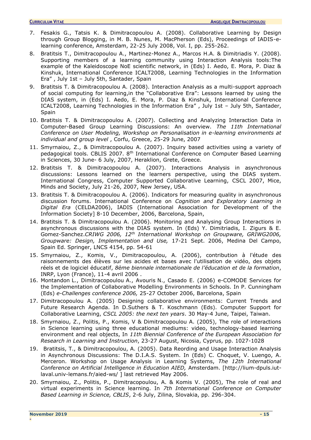- 7. Fesakis G., Tatsis K. & Dimitracopoulou A. (2008). Collaborative Learning by Design through Group Blogging, in M. B. Nunes, M. MacPherson (Eds), Proceedings of IADIS-elearning conference, Amsterdam, 22-25 July 2008, Vol. I, pp. 255-262.
- 8. Bratitsis T., Dimitracopoulou A., Martinez-Monez A., Marcos H.A. & Dimitriadis Y. (2008). Supporting members of a learning community using Interaction Analysis tools:The example of the Kaleidoscope NoE scientific network, in (Eds) I. Aedo, E. Mora, P. Diaz & Kinshuk, International Conference ICALT2008, Learning Technologies in the Information Era" , July 1st – July 5th, Santader, Spain
- 9. Bratitsis T. & Dimitracopoulou A. (2008). Interaction Analysis as a multi-support approach of social computing for learning,in the "Collaborative Era": Lessons learned by using the DIAS system, in (Eds) I. Aedo, E. Mora, P. Diaz & Kinshuk, International Conference ICALT2008, Learning Technologies in the Information Era" , July 1st – July 5th, Santader, **Spain**
- 10. Bratitsis T. & Dimitracopoulou A. (2007). Collecting and Analyzing Interaction Data in Computer-Based Group Learning Discussions: An overview. *The 11th International Conference on User Modeling, Workshop on Personalisation in e-learning environments at individual and group level* , Corfu, Greece, 25-29 June, 2007
- 11. Smyrnaiou, Z., & Dimitracopoulou A. (2007). Inquiry based activities using a variety of pedagogical tools. CBLIS 2007. 8th International Conference on Computer Based Learning in Sciences, 30 June- 6 July, 2007, Heraklion, Grete, Greece.
- 12. Bratitsis T. & Dimitracopoulou A. (2007). Ιnteractions Analysis in asynchronous discussions: Lessons learned on the learners perspective, using the DIAS system. International Congress, Computer Supported Collaborative Learning, CSCL 2007, Mice, Minds and Society, July 21-26, 2007, New Jersey, USA.
- 13. Bratitsis T. & Dimitracopoulou A. (2006). Indicators for measuring quality in asynchronous discussion forums. International Conference on *Cognition and Exploratory Learning in Digital Era* (CELDA2006), IADIS (International Association for Development of the Information Society] 8-10 December, 2006, Barcelona, Spain,
- 14. Bratitsis T. & Dimitracopoulou A. (2006). Monitoring and Analysing Group Interactions in asynchronous discussions with the DIAS system. In (Eds) Y. Dimitriadis, I. Zigurs & E. Gomez-Sanchez.*CRIWG 2006, 12th International Workshop on Groupware, GRIWG2006, Groupware: Design, Implementation and Use,* 17-21 Sept. 2006, Medina Del Campo, Spain Ed. Springer, LNCS 4154, pp. 54-61
- 15. Smyrnaiou, Z., Komis, V., Dimitracopoulou, A. (2006), contribution à l'étude des raisonnements des élèves sur les acides et bases avec l'utilisation de vidéo, des objets réels et de logiciel éducatif, *8ème biennale internationale de l'éducation et de la formation*, INRP, Lyon (France), 11-4 avril 2006 .
- 16. Montandon L., Dimitracopoulou A., Avouris N., Casado E. (2006) e-COMODE Services for the Implementation of Collaborative Modelling Environments in Schools. In P. Cunningham (Eds) *e-Challenges conference 2006,* 25-27 October 2006, Barcelona, Spain
- 17. Dimitracopoulou A. (2005) Designing collaborative environments: Current Trends and Future Research Agenda. In D.Suthers & T. Koschmann (Eds). Computer Support for Collaborative Learning, *CSCL 2005: the next ten years*. 30 May-4 June, Taipei, Taiwan.
- 18. Smyrnaiou, Z., Politis, P., Komis, V & Dimitracopoulou A. (2005), The role of interactions in Science learning using three educational mediums: video, technology-based learning environment and real objects, In *11th Biennial Conference of the European Association for Research in Learning and Instruction*, 23-27 August, Nicosia, Cyprus, pp. 1027-1028
- 19. Bratitsis, T., & Dimitracopoulou, A. (2005). Data Reording and Usage Interaction Analysis in Asynchronous Discussions: The D.I.A.S. System. In (Eds) C. Choquet, V. Luengo, A. Merceron. Workshop on Usage Analysis in Learning Systems, *The 12th International Conference on Artificial Intelligence in Education AIED,* Amsterdam. [http://lium-dpuls.iutlaval.univ-lemans.fr/aied-ws/ ] last retrieved May 2006.
- 20. Smyrnaiou, Z., Politis, P., Dimitracopoulou, A. & Komis V. (2005), The role of real and virtual experiments in Science learning. In *7th International Conference on Computer Based Learning in Science, CBLIS*, 2-6 July, Zilina, Slovakia, pp. 296-304.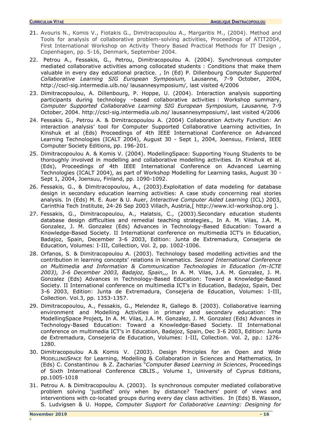- 21. Avouris N., Komis V., Fiotakis G., Dimitracopoulou A., Margaritis M., (2004). Method and Tools for analysis of collaborative problem-solving activities, Proceedings of ATIT2004, First International Workshop on Activity Theory Based Practical Methods for IT Design , Copenhagen, pp. 5-16, Denmark, September 2004.
- 22. Petrou A., Fessakis, G., Petrou, Dimitracopoulou A. (2004). Synchronous computer mediated collaborative activities among collocated students : Conditions that make them valuable in every day educational practice. , In (Ed) P. Dillenbourg *Computer Supported Collaborative Learning SIG European Symposium,* Lausanne, 7-9 October, 2004, http://cscl-sig.intermedia.uib.no/ lausannesymposium/, last visited 4/2006
- 23. Dimitracopoulou, A. Dillenbourg, P. Hoppe, U. (2004). Interaction analysis supporting participants during technology –based collaborative activities : Workshop summary, *Computer Supported Collaborative Learning SIG European Symposium, Lausanne,* 7-9 October, 2004. http://cscl-sig.intermedia.uib.no/ lausannesymposium/, last visited 4/2006
- 24. Fessakis G., Petrou A. & Dimitracopoulou A. (2004) Collaboration Activity Function: An interaction analysis' tool for Computer Supported Collaborative Learning activities, In Kinshuk et al (Eds) Proceedings of 4th IEEE International Conference on Advanced Learning Technologies (ICALT 2004), August 30 - Sept 1, 2004, Joensuu, Finland, IEEE Computer Society Editions, pp. 196-201.
- 25. Dimitracopoulou A. & Komis V. (2004). ModellingSpace: Supporting Young Students to be thoroughly involved in modelling and collaborative modelling activities. In Kinshuk et al. (Eds), Proceedings of 4th IEEE International Conference on Advanced Learning Technologies (ICALT 2004), as part of Workshop Modelling for Learning tasks, August 30 - Sept 1, 2004, Joensuu, Finland, pp. 1090-1092.
- 26. Fessakis, G., & Dimitracopoulou, A., (2003).Exploitation of data modeling for database design in secondary education learning activities: A case study concerning real stories analysis. In (Eds) M. E. Auer & U. Auer, *Interactive Computer Aided Learning* (ICL) 2003, Carinthia Tech Institute, 24-26 Sep 2003 Villach, Austria,[ http://www.icl-workshop.org ].
- 27. Fessakis, G., Dimitracopoulou, A., Halatsis, C., (2003).Secondary education students database design difficulties and remedial teaching strategies., In A. M. Vilas, J.A. M. Gonzalez, J. M. Gonzalez (Eds) Advances in Technology-Based Education: Toward a Knowledge-Based Society. II International conference on multimedia ICT's in Education, Badajoz, Spain, December 3-6 2003, Edition: Junta de Extremadura, Consejeria de Education, Volumes: I-III, Collection, Vol. 2, pp. 1002-1006.
- 28. Orfanos, S. & Dimitracopoulou A. (2003). Technology based modelling activities and the contribution in learning concepts' relations in kinematics. *Second International Conference on Multimedia and Information & Communication Technologies in Education (m-ICTE 2003), 3-6 December 2003, Badajoz, Spain,,,* In A. M. Vilas, J.A. M. Gonzalez, J. M. Gonzalez (Eds) Advances in Technology-Based Education: Toward a Knowledge-Based Society. II International conference on multimedia ICT's in Education, Badajoz, Spain, Dec 3-6 2003, Edition: Junta de Extremadura, Consejeria de Education, Volumes: I-III, Collection. Vol.3, pp. 1353-1357.
- 29. Dimitracopoulou, A., Fessakis, G., Melendez R, Gallego B. [2003). Collaborative learning environment and Modelling Activities in primary and secondary education: The ModellingSpace Project*,* [In A. M. Vilas, J.A. M. Gonzalez, J. M. Gonzalez \(Eds\) Advances in](http://www.formatex.org/micte2003/micte2003.htm)  Technology-Based Education: [Toward a Knowledge-Based Society. II International](http://www.formatex.org/micte2003/micte2003.htm)  [conference on multimedia ICT's in Education, Badajoz, Spain, Dec 3](http://www.formatex.org/micte2003/micte2003.htm)-6 2003, Edition: Junta [de Extremadura, Consejeria de Education, Volumes: I-III, Collection.](http://www.formatex.org/micte2003/micte2003.htm) Vol. 2, pp.: 1276- [1280.](http://www.formatex.org/micte2003/micte2003.htm)
- 30. Dimitracopoulou A.& Komis V. (2003). Design Principles for an Open and Wide MODELLINGSPACE for Learning, Modelling & Collaboration in Sciences and Mathematics, In (Eds) C. Constantinou & Z. Zacharias "*Computer Based Learning in Sciences*, Proceedings of Sixth International Conference CBLIS., Volume 1, University of Cyprus Editions, pp.1005-1018
- 31. Petrou A. & Dimitracopoulou A. (2003). Is synchronous computer mediated collaborative problem solving 'justified' only when by distance? Teachers' point of views and interventions with co-located groups during every day class activities. In (Eds) B. Wasson, S. Ludvigsen & U. Hoppe, *Computer Support for Collaborative Learning: Designing for*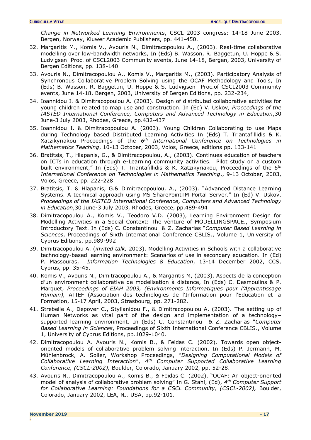*Change in Networked Learning Environments*, CSCL 2003 congress: 14-18 June 2003, Bergen, Norway, Kluwer Academic Publishers, pp. 441-450.

- 32. Margaritis M., Komis V., Avouris N., Dimitracopoulou A., (2003). Real-time collaborative modelling over low-bandwidth networks, In (Eds) B. Wasson, R. Baggetun, U. Hoppe & S. Ludvigsen Proc. of CSCL2003 Community events, June 14-18, Bergen, 2003, University of Bergen Editions, pp. 138-140
- 33. Avouris N., Dimitracopoulou A., Komis V., Margaritis M., (2003). Participatory Analysis of Synchronous Collaborative Problem Solving using the OCAF Methodology and Tools, In (Eds) B. Wasson, R. Baggetun, U. Hoppe & S. Ludvigsen Proc.of CSCL2003 Community events, June 14-18, Bergen, 2003, University of Bergen Editions, pp. 232-234,
- 34. Ioannidou I. & Dimitracopoulou A. (2003). Design of distributed collaborative activities for young children related to map use and construction. In (Ed) V. Uskov, *Proceedings of the IASTED International Conference, Computers and Advanced Technology in Education*,30 June-3 July 2003, Rhodes, Greece, pp.432-437
- 35. Ioannidou I. & Dimitracopoulou A. (2003). Young Children Collaborating to use Maps during Technology based Distributed Learning Activities In (Eds) T. Triantafillidis & K. Xatzikyriakou Proceedings of the *6 th International Conference on Technologies in Mathematics Teaching*, 10-13 October, 2003, Volos, Greece, editions pp. 133-141
- 36. Bratitsis, T., Hlapanis, G., & Dimitracopoulou, A., (2003). Continues education of teachers on ICTs in education through e-Learning community activities. Pilot study on a custom built environment," In (Eds) T. Triantafillidis & K. Xatzikyriakou, Proceedings of the *6 th International Conference on Technologies in Mathematics Teaching*,, 9-13 October, 2003, Volos, Greece, pp. 222-228
- 37. Bratitsis, T. & Hlapanis, G.& Dimitracopoulou, A., (2003). "Advanced Distance Learning Systems. A technical approach using MS SharePointTM Portal Server." In (Ed) V. Uskov, *Proceedings of the IASTED International Conference, Computers and Advanced Technology in Education*,30 June-3 July 2003, Rhodes, Greece, pp.489-494
- 38. Dimitracopoulou A., Komis V., Teodoro V.D. (2003), Learning Environment Design for Modelling Activities in a Social Context: The venture of MODELLINGSPACE., Symposium Introductory Text. In (Eds) C. Constantinou & Z. Zacharias "*Computer Based Learning in Sciences*, Proceedings of Sixth International Conference CBLIS., Volume 1, University of Cyprus Editions, pp.989-992
- 39. Dimitracopoulou A. (*invited talk,* 2003). Modelling Activities in Schools with a collaborative technology-based learning environment: Scenarios of use in secondary education. In (Ed) P. Massouras, *Information Technologies & Education*, 13-14 December 2002, CCS, Cyprus, pp. 35-45.
- 40. Komis V., Avouris N., Dimitracopoulou A., & Margaritis M, (2003), Aspects de la conception d'un environment collaborative de modelisation à distance, In (Eds) C. Desmoulins & P. Marquet, *Proceedings of EIAH 2003, (Environments Informatiques pour l'Apprentissage Humain),* ATIEF (Association des technologies de l'Information pour l'Education et la Formation, 15-17 April, 2003, Strasbourg, pp. 271-282.
- 41. Strebelle A., Depover C., Stylianidou F., & Dimitracopoulou A. (2003). The setting up of Human Networks as vital part of the design and implementation of a technology– supported learning environment. In (Eds) C. Constantinou & Z. Zacharias "*Computer Based Learning in Sciences*, Proceedings of Sixth International Conference CBLIS., Volume 1, University of Cyprus Editions, pp.1029-1040.
- 42. Dimitracopoulou A. Avouris N., Komis B., & Feidas C. (2002). Towards open objectoriented models of collaborative problem solving interaction. In (Eds) P. Jermann, M. Mühlenbrock, A. Soller, Workshop Proceedings, "*Designing Computational Models of Collaborative Learning Interaction*", *4 th Computer Supported Collaborative Learning Conference, (CSCL-2002),* Boulder, Colorado, January 2002, pp. 52-28.
- 43. Avouris N., Dimitracopoulou A., Komis B., & Feidas C. (2002). "OCAF: An object-oriented model of analysis of collaborative problem solving" In G. Stahl, (Ed), *4 th Computer Support for Collaborative Learning: Foundations for a CSCL Community, (CSCL-2002),* Boulder, Colorado, January 2002, LEA, NJ. USA, pp.92-101.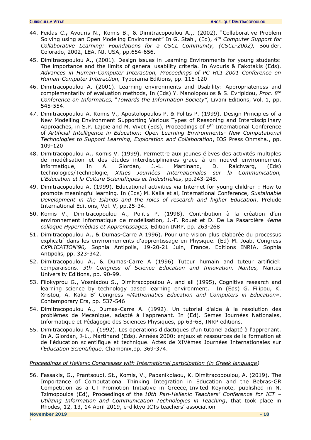- 44. Feidas C.**,** Avouris N., Komis B., & Dimitracopoulou A.,. (2002). "Collaborative Problem Solving using an Open Modeling Environment" In G. Stahl, (Ed), *4 th Computer Support for Collaborative Learning: Foundations for a CSCL Community, (CSCL-2002),* Boulder, Colorado, 2002, LEA, NJ. USA, pp.654-656.
- 45. Dimitracopoulou A., (2001). Design issues in Learning Environments for young students: The importance and the limits of general usability criteria. In Avouris & Fakotakis (Eds). *Advances in Human-Computer Interaction, Proceedings of PC HCI 2001 Conference on Human-Computer Interaction,* Typorama Editions, pp. 115-120
- 46. Dimitracopoulou A. (2001). Learning environments and Usability: Appropriateness and complementarity of evaluation methods, In (Eds) Y. Manolopoulos & S. Evripidou, *Proc. 8th Conference on Informatics,* "*Towards the Information Society"*, Livani Editions, Vol. 1, pp. 545-554.
- 47. Dimitracopoulou A, Komis V., Apostolopoulos P. & Politis P. (1999). Design Principles of a New Modelling Environment Supporting Various Types of Reasoning and Interdisciplinary Approaches, in S.P. Lajoie and M. Vivet (Eds), Proceedings of 9<sup>th</sup> International Conference of *Artificial Intelligence in Education: Open Learning Environments- New Computational Technologies to Support Learning, Exploration and Collaboration*, IOS Press Ohmsha., pp. 109-120
- 48. Dimitracopoulou A., Komis V. (1999). Permettre aux jeunes élèves des activités multiples de modélisation et des études interdisciplinaires grace à un nouvel environnement informatique, In A. Giordan, J.-L. Martinand, D. Raichvarg, (Eds) technologies/Technologie, *XXIes Journées Internationales sur la Communication, L'Education et la Culture Scientifiques et Industrielles*, pp.243-248.
- 49. Dimitracopoulou A. (1999). Educational activities via Internet for young children : How to promote meaningful learning. In (Eds) M. Kaila et al, International Conference, *Sustainable Development in the Islands and the roles of research and higher Education*, Prelude International Editions, Vol. V, pp.25-34.
- 50. Komis V., Dimitracopoulou A., Politis P. (1998). Contribution à la création d'un environnement informatique de modélisation, J.-F. Rouet et D. De La Pasardière *4ème colloque Hypermèdias et Apprentissages,* Edition INRP, pp. 263-268
- 51. Dimitracopoulou A., & Dumas-Carre A 1996). Pour une vision plus elaborée du processus explicatif dans les environnements d'apprentissage en Physique. (Ed) M. Joab, Congress *EXPLICATION'96,* Sophia Antipolis, 19-20-21 Juin, France, Editions INRIA, Sophia Antipolis, pp. 323-342.
- 52. Dimitracopoulou A., & Dumas-Carre A (1996) Tuteur humain and tuteur artificiel: comparaisons*. 3th Congress of Science Education and Innovation. Nantes,* Nantes University Editions, pp. 90-99.
- 53. Filokyprou G., Vosniadou S., Dimitracopoulou A. and all (1995), Cognitive research and learning science by technology based learning environment. In (Eds) G. Filipou, K. Xristou, A. Kaka Β' Congress «*Mathematics Education and Computers in Education*», Contemporary Era, pp. 537-546
- 54. Dimitracopoulou A., Dumas-Carre A. (1992). Un tutoriel d'aide à la resolution des problèmes de Mecanique, adapté à l'apprenant. In (Ed). 5èmes Journées Nationales, Informatique et Pédagogie des Sciences Physiques, pp.63-68, INRP editions.
- 55. Dimitracopoulou A.,. (1992). Les operations didactiques d'un tutoriel adapté à l'apprenant. In A. Giordan, J-L., Martinand (Eds). Années 2000: enjeux et ressources de la formation et de l'éducation scientifique et technique. Actes de XIVèmes Journées Internationales sur *l'Education Scientifique*. Chamonix,pp. 369-374.

## *Proceedings of Hellenic Congresses with International participation (in Greek language)*

56. Fessakis, G., Prantsoudi, St., Komis, V., Papanikolaou, K. Dimitracopoulou, A. (2019). The Importance of Computational Thinking Integration in Education and the Bebras-GR Competition as a CT Promotion Initiative in Greece, Invited Keynote, published in N. Tzimopoulos (Ed), Proceedings of the *10th Pan-Hellenic Teachers' Conference for ICT – Utilizing Information and Communication Technologies in Teaching*, that took place in Rhodes, 12, 13, 14 April 2019, e-diktyo ICTs teachers' association

**-**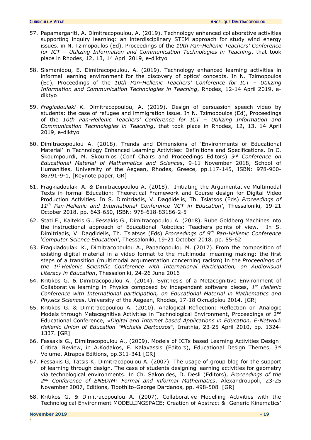- 57. Papamargariti, A. Dimitracopoulou, A. (2019). Technology enhanced collaborative activities supporting inquiry learning: an interdisciplinary STEM approach for study wind energy issues. in N. Tzimopoulos (Ed), Proceedings of the *10th Pan-Hellenic Teachers' Conference for ICT – Utilizing Information and Communication Technologies in Teaching*, that took place in Rhodes, 12, 13, 14 April 2019, e-diktyo
- 58. Sismanidou, E. Dimitracopoulou, A. (2019). Technology enhanced learning activities in informal learning environment for the discovery of optics' concepts. In N. Tzimopoulos (Ed), Proceedings of the *10th Pan-Hellenic Teachers' Conference for ICT – Utilizing Information and Communication Technologies in Teaching*, Rhodes, 12-14 April 2019, ediktyo
- 59. *Fragiadoulaki K.* Dimitracopoulou, A. (2019). Design of persuasion speech video by students: the case of refugee and immigration issue. In N. Tzimopoulos (Ed), Proceedings of the *10th Pan-Hellenic Teachers' Conference for ICT – Utilizing Information and Communication Technologies in Teaching*, that took place in Rhodes, 12, 13, 14 April 2019, e-diktyo
- 60. Dimitracopoulou A. (2018). Trends and Dimensions of 'Environments of Educational Material' in Technology Enhanced Learning Activities: Definitions and Specifications. In C. Skoumpourdi, M. Skoumios (Conf Chairs and Proceedings Editors) *3 rd Conference on Educational Material of Mathematics and Sciences*, 9-11 November 2018, School of Humanities, University of the Aegean, Rhodes, Greece, pp.117-145, ISBN: 978-960- 86791-9-1, [Keynote paper, GR]
- 61. Fragkiadoulaki A. & Dimitracopoulou A. (2018). Initiating the Argumentative Multimodal Texts in formal Education: Theoretical Framework and Course design for Digital Video Production Activities. In S. Dimitriadis, V. Dagdidelis, Th. Tsiatsos (Eds) *Proceedings of 11th Pan-Hellenic and International Conference 'ICT in Education'*, Thessaloniki, 19-21 October 2018. pp. 643-650, ISBN: 978-618-83186-2-5
- 62. Stati F., Kaltekis G., Fessakis G., Dimitracopoulou A. (2018). Rube Goldberg Machines into the instructional approach of Educational Robotics: Teachers points of view. In S. Dimitriadis, V. Dagdidelis, Th. Tsiatsos (Eds) *Proceedings of 9 th Pan-Hellenic Conference 'Computer Science Education'*, Thessaloniki, 19-21 October 2018. pp. 55-62
- 63. Fragkiadoulaki K., Dimitracopoulou A., Papadopoulou M. (2017). From the composition of existing digital material in a video format to the multimodal meaning making: the first steps of a transition (multimodal argumentation concerning racism) In the *Proceedings of the 1st Hellenic Scientific Conference with International Participation, on Audiovisual Literacy in Education*, Thessaloniki, 24-26 June 2016
- 64. Kritikos G. & Dimitracopoulou A. (2014). Synthesis of a Metacognitive Environment of Collaborative learning in Physics composed by independent software pieces, *1 st Hellenic Conference with International participation, on Educational Material in Mathematics and Physics Sciences*, University of the Aegean, Rhodes, 17-18 Οκτωβρίου 2014. [GR]
- 65. Kritikos G. & Dimitracopoulou A. (2010). Αnalogical Reflection: Reflection on Analogic Models through Metacognitive Activities in Technological Environment, Proceedings of 2<sup>nd</sup> Educational Conference, *«Digital and Internet based Applications in Education, E-Network Hellenic Union of Education "Michalis Dertouzos",* Imathia, 23-25 April 2010, pp. 1324- 1337. [GR]
- 66. Fessakis G., Dimitracopoulou A., (2009), Models of ICTs based Learning Activities Design: Critical Review, in A.Kodakos, F. Kalavassis (Editors), Educational Design Themes, 3rd Volume, Atrapos Editions, pp.311-341 [GR]
- 67. Fessakis G, Tatsis K, Dimitracopoulou A. (2007). The usage of group blog for the support of learning through design. The case of students designing learning activities for geometry via technological environments. In Ch. Sakonides, D. Desli (Editors), *Proceedings of the*  2<sup>nd</sup> Conference of ENEDIM: Formal and informal Mathematics, Alexandroupoli, 23-25 November 2007, Editions, Tipothito-George Dardanos, pp. 498-508 [GR]
- 68. Kritikos G. & Dimitracopoulou A. (2007). Collaborative Modelling Activities with the Technological Environment MODELLINGSPACE: Creation of Abstract & Generic Kinematics'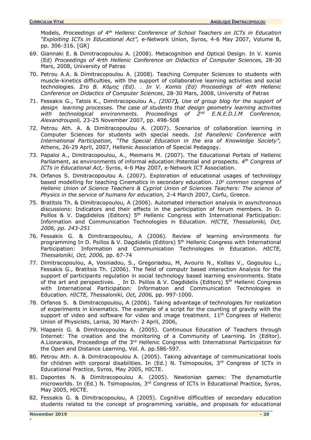Models, *Proceedings of 4th Hellenic Conference of School Teachers on ICTs in Education "Exploiting ICTs in Educational Act",* e-Network Union, Syros, 4-6 May 2007, Volume Β, pp. 306-316. [GR]

- 69. Giannaki E. & Dimitracopoulou A. (2008). Metacognition and Optical Design. In V. Komis (Ed) *Proceedings of 4rth Hellenic Conference on Didactics of Computer Sciences,* 28-30 Mars, 2008, University of Patras
- 70. Petrou A.A. & Dimitracopoulou A. (2008). Teaching Computer Sciences to students with muscle-kinetics difficulties, with the support of collaborative learning activities and social technologies. *Στο Β. Kόμης (Ed). . In V. Komis (Ed) Proceedings of 4rth Hellenic Conference on Didactics of Computer Sciences*, 28-30 Mars, 2008, University of Patras
- 71. Fessakis G., Τatsis Κ., Dimitracopoulou A*., (2007), Use of group blog for the support of design learning processes. The case of students that design geometry learning activities with technological environments. Proceedings of 2nd E.N.E.D.I.M Conference, Alexandroupoli,* 23-25 Νovember 2007, pp. 498-508
- 72. Petrou Ath. A. & Dimitracopoulou A. (2007). Scenarios of collaboration learning in Computer Sciences for students with special needs. *1st Panellenic Conference with International Participation, "The Special Education in the era of Knowledge Society",* Athens, 26-29 April, 2007, Hellenic Association of Special Pedagogy.
- 73. Papaloi Α., Dimitracopoulou, A., Meimaris M. (2007). The Educational Portals of Hellenic Parliament, as environments of informal education:Potential and prospects. *4 th Congress of ICTs in Educational Act,,* Syros, 4-6 May 2007, e-Network ICT Association.
- 74. Orfanos S. Dimitracopoulou A. (2007). Exploration of educational usages of technology based modelling for teaching Cinematics in secondary education. *10<sup>ο</sup> common congress of Hellenic Union of Science Teachers & Cypriot Union of Sciences Teachers: The science of Physics in the service of humans for education,* 2-4 Μarch 2007, Corfu, Greece.
- 75. Bratitsis Th. & Dimitracopoulou, A (2006). Automated interaction analysis in asynchronous discussions: Indicators and their effects in the participation of forum members. In D. Psillos & V. Dagdidelos (Editors)  $5<sup>th</sup>$  Hellenic Congress with International Participation: Information and Communication Technologies in Education. *HICTE, Thessaloniki, Oct, 2006, pp. 243-251*
- 76. Fessakis G. & Dimitracopoulou, A (2006). Review of learning environments for programming In D. Psillos & V. Dagdidelis (Editors) 5<sup>th</sup> Hellenic Congress with International Participation: Information and Communication Technologies in Education. *HICTE, Thessaloniki, Oct, 2006,* pp. 67-74
- 77. Dimitracopoulou, A, Vosniadou, S., Gregoriadou, M, Avouris N., Kollias V., Gogoulou L., Fessakis G., Bratitsis Th. (2006). The field of computr based interaction Analysis for the support of participants regulation in social technology based learning environments. State of the art and perspectives. J In D. Psillos & V. Dagdidelis (Editors) 5<sup>th</sup> Hellenic Congress with International Participation: Information and Communication Technologies in Education. *HICTE, Thessaloniki, Oct, 2006,* pp. 997-1000.
- 78. Orfanos S. & Dimitracopoulou, A (2006). Taking advantage of technologies for realization of experiments in kinematics. The example of a script for the counting of gravity with the support of video and software for video and image treatment.  $11<sup>th</sup>$  Congrees of Hellenic Union of Physicists, Larisa, 30 March- 2 April, 2006,
- 79. Hlapanis G. & Dimitracopoulou A. (2005). Continuous Education of Teachers through Internet: The creation and the monitoring of a Community of Learning. In (Editor). A.Lionarakis, Proceedings of the 3<sup>rd</sup> Hellenic Congress with International Participation for the Open and Distance Learning, Vol. A. pp.586-597.
- 80. Petrou Ath. A. & Dimitracopoulou A. (2005). Taking advantage of communicational tools for children with corporal disabilities. In (Ed.) N. Tsimopoulos, 3<sup>rd</sup> Congress of ICTs in Educational Practice, Syros, May 2005, HICTE.
- 81. Dapontes Ν. & Dimitracopoulou A. (2005). Newtonian games: The dynamoturtle microworlds. In (Ed.) N. Tsimopoulos, 3<sup>rd</sup> Congress of ICTs in Educational Practice, Syros, May 2005, HICTE.
- 82. Fessakis G. & Dimitracopoulou, A (2005). Cognitive difficulties of secondary education students related to the concept of programming variable, and proposals for educational

**-**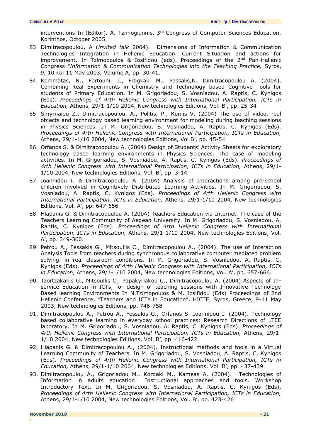interventions In (Editor). A. Tzimogiannis, 3<sup>rd</sup> Congress of Computer Sciences Education, Korinthos, October 2005.

- 83. Dimitracopoulou, A (*invited talk* 2004). Dimensions of Information & Communication Technologies Integration in Hellenic Education. Current Situation and actions for improvement. In Tzimopoulos & Iosifidou (eds). Proceedings of the 2<sup>nd</sup> Pan-Hellenic Congress *"Information & Communication Technologies into the Teaching Practice,* Syros, 9, 10 και 11 Μay 2003, Volume A, pp. 30-41.
- 84. Kommatas, N., Fortouni, J., Fragkaki M., Passalis,N. Dimitracopoulou A. (2004). Combining Real Experiments in Chemistry and Technology based Cognitive Tools for students of Primary Education. In M. Grigoriadou, S. Vosniadou, A. Raptis, C. Kynigos (Eds). *Proceedings of 4rth Hellenic Congress with International Participation, ICTs in Education,* Athens, 29/1-1/10 2004, New technologies Editions, Vol. B', pp. 25-34
- 85. Smyrnaiou Z., Dimitracopoulou, A., Politis, P., Komis V. (2004) The use of video, real objects and technology based learning environment for modeling during teaching sessions in Physics Sciences. In M. Grigoriadou, S. Vosniadou, A. Raptis, C. Kynigos (Eds). *Proceedings of 4rth Hellenic Congress with International Participation, ICTs in Education,* Athens, 29/1-1/10 2004, New technologies Editions, Vol B', pp. 45-54
- 86. Orfanos S. & Dimitracopoulou A. (2004) Design of Students' Activity Sheets for exploratory technology based learning environments in Physics Sciences. The case of modeling activities. In M. Grigoriadou, S. Vosniadou, A. Raptis, C. Kynigos (Eds). *Proceedings of 4rth Hellenic Congress with International Participation, ICTs in Education,* Athens, 29/1- 1/10 2004, New technologies Editions, Vol. B', pp. 3-14
- 87. Ιoannidou I. & Dimitracopoulou A. (2004) Analysis of Interactions among pre-school children involved in Cognitively Distributed Learning Activities. In M. Grigoriadou, S. Vosniadou, A. Raptis, C. Kynigos (Eds). *Proceedings of 4rth Hellenic Congress with International Participation, ICTs in Education,* Athens, 29/1-1/10 2004, New technologies Editions, Vol. A', pp. 647-656
- 88. Hlapanis G. & Dimitracopoulou A. (2004) Teachers Education via Internet. The case of the Teachers Learning Community of Aegean University. In M. Grigoriadou, S. Vosniadou, A. Raptis, C. Kynigos (Eds). *Proceedings of 4rth Hellenic Congress with International Participation, ICTs in Education,* Athens, 29/1-1/10 2004, New technologies Editions, Vol. A', pp. 349-360.
- 89. Petrou A., Fessakis G., Mitsoullis C., Dimitracopoulou A., (2004). The use of Interaction Analysis Tools from teachers during synchronous collaborative computer mediated problem solving, in real classroom conditions. In M. Grigoriadou, S. Vosniadou, A. Raptis, C. Kynigos (Eds). *Proceedings of 4rth Hellenic Congress with International Participation, ICTs in Education,* Athens, 29/1-1/10 2004, New technologies Editions, Vol. A', pp. 657-666.
- 90. Tzortzakakis G., Mitsoullis C., Papakyriakou C., Dimitracopoulou A. (2004) Aspects of Inservice Education in ICTs, for design of teaching sessions with Innovative Technology Based learning Environments In N.Tzimopoulos & M. Iosifidou (Eds) Proceedings of 2nd Hellenic Conference, "Teachers and ICTs in Education", HICTE, Syros, Greece, 9-11 May 2003, New technologies Editions, pp. 746-758
- 91. Dimitracopoulou A., Petrou A., Fessakis G., Orfanos S. Ioannidou I. (2004). Technology based collaborative learning in everyday school practices: Research Directions of LTEE laboratory. In M. Grigoriadou, S. Vosniadou, A. Raptis, C. Kynigos (Eds). *Proceedings of 4rth Hellenic Congress with International Participation, ICTs in Education,* Athens, 29/1- 1/10 2004, New technologies Editions, Vol. B', pp. 416-422.
- 92. Hlapanis G. & Dimitracopoulou A., (2004). Instructional methods and tools in a Virtual Learning Community of Teachers. In M. Grigoriadou, S. Vosniadou, A. Raptis, C. Kynigos (Eds). *Proceedings of 4rth Hellenic Congress with International Participation, ICTs in Education,* Athens, 29/1-1/10 2004, New technologies Editions, Vol. B', pp. 437-439
- 93. Dimitracopoulou A., Grigoriadou M., Kordaki M., Kameas A. (2004). Technologies of Information in adults education : Instructional approaches and tools. Workshop Introductory Text. In M. Grigoriadou, S. Vosniadou, A. Raptis, C. Kynigos (Eds). *Proceedings of 4rth Hellenic Congress with International Participation, ICTs in Education,* Athens, 29/1-1/10 2004, New technologies Editions, Vol. B', pp. 423-426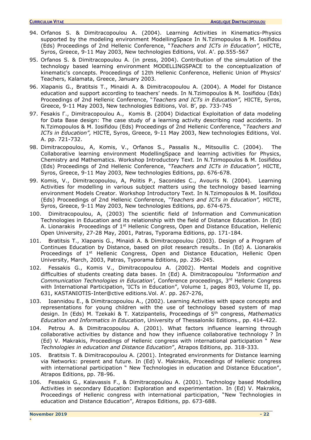- 94. Orfanos S. & Dimitracopoulou Α. (2004). Learning Activities in Kinematics-Physics supported by the modeling environment ModellingSpace In N.Tzimopoulos & M. Iosifidou (Eds) Proceedings of 2nd Hellenic Conference, "*Teachers and ICTs in Education",* HICTE, Syros, Greece, 9-11 May 2003, New technologies Editions, Vol. A'. pp.555-567
- 95. Orfanos S. & Dimitracopoulou A. (in press, 2004). Contribution of the simulation of the technology based learning environment MODELLINGSPACE to the conceptualization of kinematic's concepts. Proceedings of 12th Hellenic Conference, Hellenic Union of Physics' Teachers, Kalamata, Greece, January 2003.
- 96. Xlapanis G., Bratitsis T., Minaidi A. & Dimitracopoulou A. (2004). A Model for Distance education and support according to teachers' needs. In N.Tzimopoulos & M. Iosifidou (Eds) Proceedings of 2nd Hellenic Conference, "*Teachers and ICTs in Education",* HICTE, Syros, Greece, 9-11 May 2003, New technologies Editions, Vol. B', pp. 733-745
- 97. Fesakis Γ., Dimitracopoulou A., Komis B. (2004) Didactical Exploitation of data modeling for Data Base design: The case study of a learning activity describing road accidents. In N.Tzimopoulos & M. Iosifidou (Eds) Proceedings of 2nd Hellenic Conference, "*Teachers and ICTs in Education",* HICTE, Syros, Greece, 9-11 May 2003, New technologies Editions, Vol. A. pp. 721-732.
- 98. Dimitracopoulou, A, Komis, V., Orfanos S., Passalis N., Mitsoullis C. (2004). The Collaborative learning environment ModellingSpace and learning activities for Physics, Chemistry and Mathematics. Workshop Introductory Text. In N.Tzimopoulos & M. Iosifidou (Eds) Proceedings of 2nd Hellenic Conference, *"Teachers and ICTs in Education",* HICTE, Syros, Greece, 9-11 May 2003, New technologies Editions, pp. 676-678.
- 99. Komis, V., Dimitracopoulou, A, Politis P., Saconides C., Avouris N. (2004). Learning Activities for modelling in various subject matters using the technology based learning environment Models Creator. Workshop Introductory Text. In N.Tzimopoulos & M. Iosifidou (Eds) Proceedings of 2nd Hellenic Conference, *"Teachers and ICTs in Education",* HICTE, Syros, Greece, 9-11 May 2003, New technologies Editions, pp. 674-675.
- 100. Dimitracopoulou, A, (2003) The scientific field of Information and Communication Technologies in Education and its relationship with the field of Distance Education. In (Ed) A. Lionarakis Proceedings of  $1<sup>st</sup>$  Hellenic Congress, Open and Distance Education, Hellenic Open University, 27-28 May, 2001, Patras, Typorama Editions, pp. 171-184.
- 101. Bratitsis T., Xlapanis G., Μinaidi Α. & Dimitracopoulou (2003). Design of a Program of Continues Education by Distance, based on pilot research results.. In (Ed) A. Lionarakis Proceedings of 1<sup>st</sup> Hellenic Congress, Open and Distance Education, Hellenic Open University, March, 2003, Patras, Typorama Editions, pp. 236-245.
- 102. Fessakis G., Komis V., Dimitracopoulou A. (2002). Mental Models and cognitive difficulties of students creating data bases. In (Ed) A. Dimitracopoulou *"Information and Communication Technologies in Education'*, Conference proceedings, 3rd Hellenic Congress with International Participation, 'ICTs in Education", Volume 1, pages 803, Volume II, pp. 631, KASTANIOTIS-Inter@ctive editions.Vol. A'. pp. 267-276,
- 103. Ioannidou E., & Dimitracopoulou A., (2002). Learning Activities with space concepts and representations for young children with the use of technology based system of map design. In (Eds) M. Tzekaki & T. Xatzipantelis, Proceedings of 5th congress, *Mathematics Education and Informatics in Education*, University of Thessaloniki Editions., pp. 414-422.
- 104. Petrou A. & Dimitracopoulou A. (2001). What factors influence learning through collaborative activities by distance and how they influence collaborative technology ? In (Ed) V. Makrakis, Proceedings of Hellenic congress with international participation " *New Technologies in education and Distance Education*", Atrapos Editions, pp. 318-333.
- 105. Bratitsis T. & Dimitracopoulou A. (2001). Integrated environments for Distance learning via Networks: present and future. In (Ed) V. Makrakis, Proceedings of Hellenic congress with international participation " New Technologies in education and Distance Education", Atrapos Editions, pp. 78-96.
- 106. Fessakis G., Kalavassis F., & Dimitracopoulou A. (2001). Technology based Modelling Activities in secondary Education: Exploration and experimentation. In (Ed) V. Makrakis, Proceedings of Hellenic congress with international participation, "New Technologies in education and Distance Education", Atrapos Editions, pp. 673-688.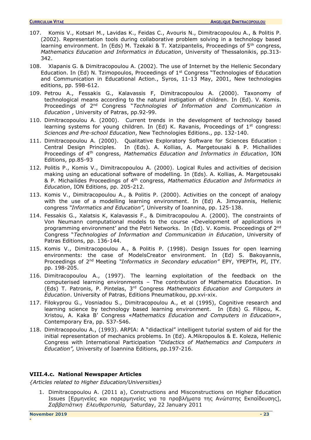- 107. Komis V., Kotsari M., Lavidas K., Feidas C., Avouris N., Dimitracopoulou A., & Politis P. (2002). Representation tools during collaborative problem solving in a technology based learning environment. In (Eds) M. Tzekaki & T. Xatzipantelis, Proceedings of 5<sup>th</sup> congress, *Mathematics Education and Informatics in Education*, University of Thessalonikis, pp.313- 342.
- 108. Xlapanis G. & Dimitracopoulou A. (2002). The use of Internet by the Hellenic Secondary Education. In (Ed) N. Tzimopoulos, Proceedings of  $1<sup>st</sup>$  Congress "Technologies of Education and Communication in Educational Action., Syros, 11-13 Μay, 2001, New technologies editions, pp. 598-612.
- 109. Petrou A., Fessakis G., Kalavassis F, Dimitracopoulou A. (2000). Taxonomy of technological means according to the natural instigation of children. In (Ed). V. Komis. Proceedings of 2nd Congress "*Technologies of Information and Communication in Education* , University of Patras, pp.92-99.
- 110. Dimitracopoulou A. (2000). Current trends in the development of technology based learning systems for young children. In (Ed) K. Ravanis, Proceedings of  $1<sup>st</sup>$  congress: *Sciences and Pre-school Education*, New Technologies Editions., pp. 132-140.
- 111. Dimitracopoulou A. (2000). Qualitative Exploratory Software for Sciences Education : Central Design Principles. In (Eds). A. Kollias, A. Margetousaki & P. Michailides Proceedings of 4 th congress, *Mathematics Education and Informatics in Education*, ION Editions, pp.85-93
- 112. Politis P., Komis V., Dimitracopoulou A. (2000). Logical Rules and activities of decision making using an educational software of modelling. In (Eds). A. Kollias, A. Margetousaki & P. Michailides Proceedings of 4 th congress, *Mathematics Education and Informatics in Education*, ION Editions, pp. 205-212.
- 113. Komis V., Dimitracopoulou A., & Politis P. (2000). Activities on the concept of analogy with the use of a modelling learning environment. In (Ed) A. Jimoyannis, Hellenic congress *"Informatics and Education",* University of Ioannina, pp. 125-138.
- 114. Fessakis G., Xalatsis K, Kalavassis F., & Dimitracopoulou A. (2000). The constraints of Von Neumann computational models to the course «Development of applications in programming environment' and the Petri Networks. In (Ed). V. Komis. Proceedings of 2<sup>nd</sup> Congress "*Technologies of Information and Communication in Education*, University of Patras Editions, pp. 136-144.
- 115. Komis V., Dimitracopoulou A., & Politis P. (1998). Design Issues for open learning environments: the case of ModelsCreator environment. In (Ed) S. Bakoyannis, Proceedings of 2nd Meeting *"Informatics in Secondary education"* EPY, YPEPTH, PI, ITY. pp. 198-205.
- 116. Dimitracopoulou A., (1997). The learning exploitation of the feedback on the computerised learning environments – The contribution of Mathematics Education. In (Eds) Τ. Patronis, P. Pintelas, 3rd Congress *Mathematics Education and Computers in Education*. University of Patras, Editions Pneumatikou, pp.xvi-xix.
- 117. Filokyprou G., Vosniadou S., Dimitracopoulou A., et al (1995), Cognitive research and learning science by technology based learning environment. In (Eds) G. Filipou, K. Xristou, A. Kaka Β' Congress «*Mathematics Education and Computers in Education*», Contemporary Era, pp. 537-546.
- 118. Dimitracopoulou A., (1993). ARPIA: A "didactical" intelligent tutorial system of aid for the initial representation of mechanics problems. In (Ed). A.Mikropoulos & E. Koleza, Hellenic Congress with International Participation *"Didactics of Mathematics and Computers in Education",* University of Ioannina Editions, pp.197-216.

## **VIII.4.c. National Newspaper Articles**

*{Articles related to Higher Education/Universities}* 

1. Dimitracopoulou A. (2011 a), Constructions and Misconstructions on Higher Education Issues [Ερμηνείες και παρερμηνείες για τα προβλήματα της Ανώτατης Εκπαίδευσης], *Σαββατιάτικη Ελευθεροτυπία,* Saturday, 22 January 2011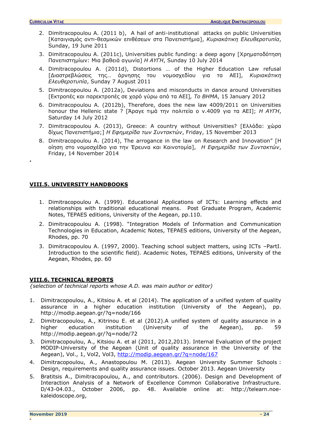**.** 

- 2. Dimitracopoulou A. (2011 b), A hail of anti-institutional attacks on public Universities [Kαταιγισμός αντι-θεσμικών επιθέσεων στα Πανεπιστήμια], *Kυριακάτικη Ελευθεροτυπία*, Sunday, 19 June 2011
- 3. Dimitracopoulou Α. (2011c), Universities public funding: a deep agony [Xρηματοδότηση Πανεπιστημίων: Μια βαθειά αγωνία] *Η ΑΥΓΗ*, Sunday 10 July 2014
- 4. Dimitracopoulou A. (2011d), Distortions … of the Higher Education Law refusal [Διαστρεβλώσεις της… άρνησης του νομοσχεδίου για τα ΑΕΙ], *Kυριακάτικη Ελευθεροτυπία*, Sunday 7 Αugust 2011
- 5. Dimitracopoulou A. (2012a), Deviations and misconducts in dance around Universities [Εκτροπές και παρεκτροπές σε χορό γύρω από τα ΑΕΙ]*, Το ΒΗΜΑ*, 15 January 2012
- 6. Dimitracopoulou A. (2012b), Therefore, does the new law 4009/2011 on Universities honour the Hellenic state ? [Άραγε τιμά την πολιτεία ο ν.4009 για τα ΑΕΙ]; *Η ΑΥΓΗ*, Saturday 14 July 2012
- 7. Dimitracopoulou Α. (2013), Greece: A country without Universities? [Eλλάδα: χώρα δίχως Πανεπιστήμια;] *Η Εφημερίδα των Συντακτών*, Friday, 15 Νovember 2013
- 8. Dimitracopoulou A. (2014), The arrogance in the law on Research and Innovation" [H] οίηση στο νομοσχέδιο για την Έρευνα και Καινοτομία], *Η Εφημερίδα των Συντακτών*, Friday, 14 November 2014

## <span id="page-23-0"></span>**VIII.5. UNIVERSITY HANDBOOKS**

- 1. Dimitracopoulou A. (1999). Educational Applications of ICTs: Learning effects and relationships with traditional educational means. Post Graduate Program, Academic Notes, TEPAES editions, University of the Aegean, pp.110.
- 2. Dimitracopoulou A. (1998). "Integration Models of Information and Communication Technologies in Education, Academic Notes, TEPAES editions, University of the Aegean, Rhodes, pp. 70
- 3. Dimitracopoulou A. (1997, 2000). Teaching school subject matters, using ICTs –PartI. Introduction to the scientific field). Academic Notes, TEPAES editions, University of the Aegean, Rhodes, pp. 60

## <span id="page-23-1"></span>**VIII.6. TECHNICAL REPORTS**

*{selection of technical reports whose A.D. was main author or editor)* 

- 1. Dimitracopoulou, A., Kitsiou A. et al (2014). The application of a unified system of quality assurance in a higher education institution (University of the Aegean), pp. http://modip.aegean.gr/?q=node/166
- 2. Dimitracopoulou, A., Kitrinou E. et al (2012).A unified system of quality assurance in a higher education institution (University of the Aegean), pp. 59 http://modip.aegean.gr/?q=node/72
- 3. Dimitracopoulou, A., Kitsiou A. et al (2011, 2012,2013). Internal Evaluation of the project MODIP-University of the Aegean (Unit of quality assurance in the University of the Aegean), Vol., 1, Vol2, Vol3, <http://modip.aegean.gr/?q=node/167>
- 4. Dimitracopoulou, A., Anastopoulou M. (2013). Aegean University Summer Schools : Design, requirements and quality assurance issues. October 2013. Aegean University
- 5. Bratitsis A., Dimitracopoulou, A., and contributors. (2006). Design and Development of Interaction Analysis of a Network of Excellence Common Collaborative Infrastructure. D/43-04.03., October 2006, pp. 48. Available online at: http://telearn.noekaleidoscope.org,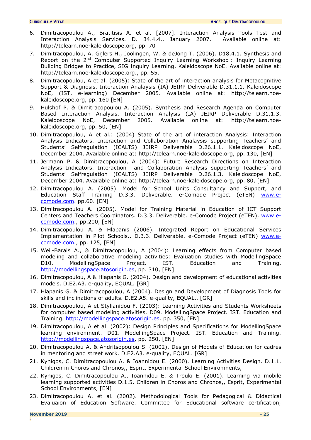- 6. Dimitracopoulou A., Bratitisis A. et al. [2007]. Interaction Analysis Tools Test and Interaction Analysis Services. D. 34.4.4., January 2007. Available online at: http://telearn.noe-kaleidoscope.org, pp. 70
- 7. Dimitracopoulou, A. Gijlers H., Joolingen, W. & deJong T. (2006). D18.4.1. Synthesis and Report on the 2<sup>nd</sup> Computer Supported Inquiry Learning Workshop : Inquiry Learning Building Bridges to Practice, SIG Inquiry Learning, Kaleidoscope NoE. Available online at: http://telearn.noe-kaleidoscope.org., pp. 55.
- 8. Dimitracopoulou, A et al. (2005): State of the art of interaction analysis for Metacognitive Support & Diagnosis. Interaction Analaysis (IA) JEIRP Deliverable D.31.1.1. Kaleidoscope NoE, (IST, e-learning) December 2005. Available online at: http://telearn.noekaleidoscope.org, pp. 160 [EN]
- 9. Hulshof P. & Dimitracopoulou A. (2005). Synthesis and Research Agenda on Computer Based Interaction Analysis. Interaction Analysis (IA) JEIRP Deliverable D.31.1.3.<br>Kaleidoscope NoE, December 2005. Available online at: http://telearn.noe-Kaleidoscope NoE, December 2005. Available online at: http://telearn.noekaleidoscope.org, pp. 50, [EN]
- 10. Dimitracopoulou, A et al.: (2004) State of the art of interaction Analysis: Interaction Analysis Indicators. Interaction and Collaboration Analaysis supporting Teachers' and Students' Selfregulation (ICALTS) JEIRP Deliverable D.26.1.1. Kaleidoscope NoE, December 2004. Available online at: http://telearn.noe-kaleidoscope.org, pp. 130, [EN]
- 11. Jermann P. & Dimitracopoulou, A (2004): Future Research Directions on Interaction Analysis Indicators. Interaction and Collaboration Analysis supporting Teachers' and Students' Selfregulation (ICALTS) JEIRP Deliverable D.26.1.3. Kaleidoscope NoE, December 2004. Available online at: http://telearn.noe-kaleidoscope.org, pp. 80, [EN]
- 12. Dimitracopoulou A. (2005). Model for School Units Consultancy and Support, and Education Staff Training D.3.3. Deliverable. e-Comode Project (eTEN) [www.e](http://www.e-comode.com/)[comode.com.](http://www.e-comode.com/) pp.60. [EN]
- 13. Dimitracopoulou A. (2005). Model for Training Material in Education of ICT Support Centers and Teachers Coordinators. D.3.3. Deliverable. e-Comode Project (eTEN), [www.e](http://www.e-comode.com/)[comode.com.](http://www.e-comode.com/), pp.200, [EN]
- 14. Dimitracopoulou A. & Hlapanis (2006). Integrated Report on Educational Services Implementation in Pilot Schools.. D.3.3. Deliverable. e-Comode Project (eTEN) [www.e](http://www.e-comode.com/)[comode.com.](http://www.e-comode.com/), pp. 125, [EN]
- 15. Weil-Barais A., & Dimitracopoulou, A (2004): Learning effects from Computer based modeling and collaborative modeling activities: Evaluation studies with ModellingSpace D10. ModellingSpace Project. IST. Education and Training. [http://modellingspace.atosorigin.es,](http://mailgate.aegean.gr/exchweb/bin/redir.asp?URL=http://mailgate.aegean.gr/exchweb/bin/redir.asp?URL=http://modellingspace.atosorigin.es/) pp. 310, [EN]
- 16. Dimitracopoulou, A & Hlapanis G. (2004). Design and development of educational activities models. D.E2.A3. e-quality, EQUAL. [GR]
- 17. Hlapanis G. & Dimitracopoulou, A (2004). Design and Development of Diagnosis Tools for skills and inclinations of adults. D.E2.A5. e-quality, EQUAL., [GR]
- 18. Dimitracopoulou, A et Stylianidou F. (2003): Learning Activities and Students Worksheets for computer based modeling activities. D09. ModellingSpace Project. IST. Education and Training. [http://modellingspace.atosorigin.es.](http://mailgate.aegean.gr/exchweb/bin/redir.asp?URL=http://mailgate.aegean.gr/exchweb/bin/redir.asp?URL=http://modellingspace.atosorigin.es/) pp. 350, [EN]
- 19. Dimitracopoulou, A et al. (2002): Design Principles and Specifications for ModellingSpace learning environment. D01. ModellingSpace Project. IST. Education and Training. [http://modellingspace.atosorigin.es,](http://mailgate.aegean.gr/exchweb/bin/redir.asp?URL=http://mailgate.aegean.gr/exchweb/bin/redir.asp?URL=http://modellingspace.atosorigin.es/) pp. 250, [EN]
- 20. Dimitracopoulou Α. & Αndritsopoulou S. (2002). Design of Models of Education for cadres in mentoring and street work. D.E2.A3. e-quality, EQUAL. [GR]
- 21. Κynigos, C. Dimitracopoulou A. & Ioannidou E. (2000). Learning Activities Design. D.1.1. Children in Choros and Chronos,, Esprit, Experimental School Environments,
- 22. Κynigos, C. Dimitracopoulou A., Ioannidou E. & Trouki E. (2001). Learning via mobile learning supported activities D.1.5. Children in Choros and Chronos,, Esprit, Experimental School Environments, [EN]
- 23. Dimitracopoulou A. et al. (2002). Methodological Tools for Pedagogical & Didactical Evaluaion of Education Software. Committee for Educational software certification,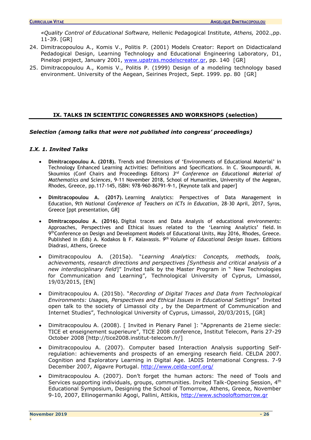*«Quality Control of Educational Software,* Hellenic Pedagogical Institute, *Athens,* 2002.,pp. 11-39. [GR]

- 24. Dimitracopoulou A., Komis V., Politis P. (2001) Models Creator: Report on Didacticaland Pedadogical Design, Learning Technology and Educational Engineering Laboratory, D1, Pinelopi project, January 2001, [www.upatras.modelscreator.gr,](http://www.upatras.modelscreator.gr/) pp. 140 [GR]
- <span id="page-25-0"></span>25. Dimitracopoulou A., Komis V., Politis P. (1999) Design of a modeling technology based environment. University of the Aegean, Seirines Project, Sept. 1999. pp. 80 [GR]

## **IX. TALKS IN SCIENTIFIC CONGRESSES AND WORKSHOPS (selection)**

## *Selection (among talks that were not published into congress' proceedings)*

## *I.X. 1. Invited Talks*

- **Dimitracopoulou A. (2018).** Trends and Dimensions of 'Environments of Educational Material' in Technology Enhanced Learning Activities: Definitions and Specifications. In C. Skoumpourdi, M. Skoumios (Conf Chairs and Proceedings Editors) 3<sup>rd</sup> Conference on Educational Material of *Mathematics and Sciences*, 9-11 November 2018, School of Humanities, University of the Aegean, Rhodes, Greece, pp.117-145, ISBN: 978-960-86791-9-1, [Keynote talk and paper]
- **Dimitracopoulou A. (2017).** Learning Analytics: Perspectives of Data Management in Education, *9th National Conference of Teachers on ICTs in Education*, 28-30 April, 2017, Syros, Greece [ppt presentation, GR]
- **Dimitracopoulou A. (2016).** Digital traces and Data Analysis of educational environments: Approaches, Perspectives and Ethical Issues related to the 'Learning Analytics' field. In 9<sup>th</sup>Conference on Design and Development Models of Educational Units, May 2016, Rhodes, Greece. Published in (Eds) A. Kodakos & F. Kalavassis. *9 th Volume of Educational Design Issues*. Editions Diadrasi, Athens, Greece
- Dimitracopoulou A. (2015a). "*Learning Analytics: Concepts, methods, tools, achievements, research directions and perspectives [Synthesis and critical analysis of a new interdisciplinary field*]" Invited talk by the Master Program in " New Technologies for Communication and Learning", Technological University of Cyprus, Limassol, 19/03/2015, [EN]
- Dimitracopoulou A. (2015b). "*Recording of Digital Traces and Data from Technological Environments: Usages, Perspectives and Ethical Issues in Educational Settings*" Invited open talk to the society of Limassol city , by the Department of Communication and Internet Studies", Technological University of Cyprus, Limassol, 20/03/2015, [GR]
- Dimitracopoulou A. (2008). [ Invited in Plenary Panel ]: "Apprenants de 21eme siecle: TICE et enseignement superieure", TICE 2008 conference, Institut Telecom, Paris 27-29 October 2008 [http://tice2008.institut-telecom.fr/]
- Dimitracopoulou A. (2007). Computer based Interaction Analysis supporting Selfregulation: achievements and prospects of an emerging research field. CELDA 2007. Cognition and Exploratory Learning in Digital Age. IADIS International Congress. 7-9 December 2007, Algavre Portugal.<http://www.celda-conf.org/>
- Dimitracopoulou A. (2007). Don't forget the human actors: The need of Tools and Services supporting individuals, groups, communities. Invited Talk-Opening Session, 4<sup>th</sup> Educational Symposium, Designing the School of Tomorrow, Athens, Greece, November 9-10, 2007, Ellinogermaniki Agogi, Pallini, Attikis, [http://www.schooloftomorrow.gr](http://www.schooloftomorrow.gr/)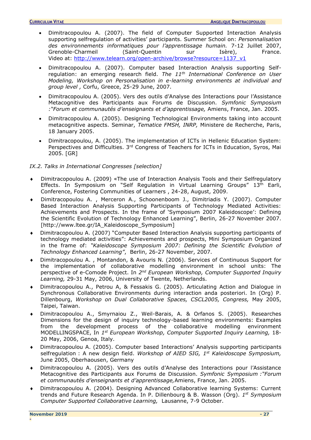- Dimitracopoulou A. (2007). The field of Computer Supported Interaction Analysis supporting selfregulation of activities' participants. Summer School on: *Personnalisation des environnements informatiques pour l'apprentissage humain.* 7-12 Juillet 2007, Grenoble-Charmeil (Saint-Quentin sur Isère), France. Video at: [http://www.telearn.org/open-archive/browse?resource=1137\\_v1](http://www.telearn.org/open-archive/browse?resource=1137_v1)
- Dimitracopoulou A. (2007). Computer based Interaction Analysis supporting Selfregulation: an emerging research field. *The 11th International Conference on User Modeling, Workshop on Personalisation in e-learning environments at individual and group level ,* Corfu, Greece, 25-29 June, 2007.
- Dimitracopoulou A. (2005). Vers des outils d'Analyse des Interactions pour l'Assistance Metacognitive des Participants aux Forums de Discussion. *Symfonic Symposium :"Forum et communautés d'enseignants et d'apprentissage,* Amiens, France, Jan. 2005.
- Dimitracopoulou A. (2005). Designing Technological Environments taking into account metacognitive aspects. Seminar, *Tematice FMSH, INRP,* Ministere de Recherche, Paris, 18 January 2005.
- Dimitracopoulou, Α. (2005). The implementation of ICTs in Hellenic Education System: Perspectives and Difficulties. 3<sup>rd</sup> Congress of Teachers for ICTs in Education, Syros, Mai 2005. [GR]

## <span id="page-26-0"></span>*IX.2. Talks in International Congresses [selection]*

- Dimitracopoulou A. (2009) «The use of Interaction Analysis Tools and their Selfregulatory Effects. In Symposium on "Self Regulation in Virtual Learning Groups" 13<sup>th</sup> Earli, Conference, Fostering Communities of Learners , 24-28, August, 2009.
- Dimitracopoulou A. , Merceron A., Schoonenboom J., Dimitriadis Y. (2007). Computer Based Interaction Analysis Supporting Participants of Technology Mediated Activities: Achievements and Prospects. In the frame of 'Symposium 2007 Kaleidoscope': Defining the Scientific Evolution of Technology Enhanced Learning", Berlin, 26-27 November 2007. [http://www.ltee.gr/IA\_Kaleidoscope\_Symposium]
- [Dimitracopoulou](http://www.ltee.gr/adimitr) A. (2007) "Computer Based Interaction Analysis supporting participants of technology mediated activities": Achievements and prospects, Mini Symposium Organized in the frame of: *"[Kaleidoscope Symposium 2007:](http://www.noe-kaleidoscope.org/group/symposium/) Defining the Scientific Evolution of Technology Enhanced Learning"*, Berlin, 26-27 November, 2007.
- Dimitracopoulou A. , Montandon, & Avouris N. (2006). Services of Continuous Support for the implementation of collaborative modelling environment in school units: The perspective of e-Comode Project. In 2<sup>nd</sup> European Workshop, Computer Supported Inquiry *Learning,* 29-31 May, 2006, University of Twente, Netherlands.
- Dimitracopoulou A., Petrou A, & Fessakis G. (2005). Articulating Action and Dialogue in Synchronous Collaborative Environments during interaction anda posteriori. In (Org) P. Dillenbourg, *Workshop on Dual Collaborative Spaces, CSCL2005, Congress,* May 2005, Taipei, Taiwan.
- Dimitracopoulou A., Smyrnaiou Z., Weil-Barais, A. & Orfanos S. (2005). Researches Dimensions for the design of inquiry technology-based learning environments: Examples from the development process of the collaborative modelling environment MODELLINGSPACE, In *1 st European Workshop, Computer Supported Inquiry Learning,* 18- 20 May, 2006, Genoa, Italy.
- Dimitracopoulou A. (2005). Computer based Interactions' Analysis supporting participants selfregulation : A new design field. *Workshop of AIED SIG, 1st Kaleidoscope Symposium,* June 2005, Oberhaousen, Germany
- Dimitracopoulou A. (2005). Vers des outils d'Analyse des Interactions pour l'Assistance Metacognitive des Participants aux Forums de Discussion. *Symfonic Symposium :"Forum et communautés d'enseignants et d'apprentissage,*Amiens, France, Jan. 2005.
- Dimitracopoulou A. (2004). Designing Advanced Collaborative learning Systems: Current trends and Future Research Agenda. In P. Dillenbourg & B. Wasson (Org). *1 st Symposium Computer Supported Collaborative Learning,* Lausanne, 7-9 October.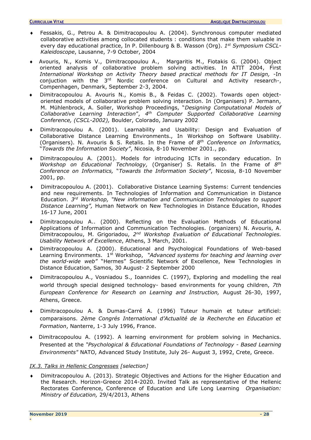- Fessakis, G., Petrou A. & Dimitracopoulou A. (2004). Synchronous computer mediated collaborative activities among collocated students : conditions that make them valuable in every day educational practice, In P. Dillenbourg & B. Wasson (Org). *1 st Symposium CSCL-Kaleidoscope*, Lausanne, 7-9 October, 2004
- Avouris, N., Komis V., Dimitracopoulou A., Margaritis M., Fiotakis G. (2004). Object oriented analysis of collaborative problem solving activities. In ATIT 2004, First *International Workshop on Activity Theory based practical methods for IT Design,* -In conjuction with the 3<sup>rd</sup> Nordic conference on Cultural and Activity research-, Compenhagen, Denmark, September 2-3, 2004.
- Dimitracopoulou A. Avouris N., Komis B., & Feidas C. (2002). Towards open objectoriented models of collaborative problem solving interaction. In (Organisers) P. Jermann, M. Mühlenbrock, A. Soller, Workshop Proceedings, "*Designing Computational Models of Collaborative Learning Interaction*", *4 th Computer Supported Collaborative Learning Conference, (CSCL-2002),* Boulder, Colorado, January 2002
- Dimitracopoulou A. (2001). Learnability and Usability: Design and Evaluation of Collaborative Distance Learning Environments., In Workshop on Software Usability. (Organisers). N. Avouris & S. Retalis. In the Frame of *8 th Conference on Informatics,* "*Towards the Information Society"*, Nicosia, 8-10 November 2001., pp.
- Dimitracopoulou A. (2001). Models for introducing ICTs in secondary education. In *Workshop on Educational Technology,* (Organiser) S. Retalis. In the Frame of *8 th Conference on Informatics,* "*Towards the Information Society"*, Nicosia, 8-10 November 2001, pp.
- Dimitracopoulou A. (2001). Collaborative Distance Learning Systems: Current tendencies and new requirements. In Technologies of Information and Communication in Distance Education. *3 rd Workshop, "New information and Communication Technologies to support Distance Learning",* Human Network on New Technologies in Distance Education, Rhodes 16-17 June, 2001
- Dimitracopoulou A.. (2000). Reflecting on the Evaluation Methods of Educational Applications of Information and Communication Technologies. (organizers) N. Avouris, A. Dimitracopoulou, M. Grigoriadou, *2 nd Workshop Evaluation of Educational Technologies. Usability Network of Excellence*, Athens, 3 March, 2001.
- Dimitracopoulou A. (2000). Educational and Psychological Foundations of Web-based Learning Environments. 1st Workshop, *"Advanced systems for teaching and learning over the world-wide web"* "Hermes" Scientific Network of Excellence, New Technologies in Distance Education, Samos, 30 August- 2 September 2000
- Dimitracopoulou A., Vosniadou S., Ioannides C. (1997), Exploring and modelling the real world through special designed technology- based environments for young children, *7th European Conference for Research on Learning and Instruction,* August 26-30, 1997, Athens, Greece.
- Dimitracopoulou A. & Dumas-Carré A. (1996) Tuteur humain et tuteur artificiel: comparaisons. *2ème Congrés International d'Actualité de la Recherche en Education et Formation*, Nanterre, 1-3 July 1996, France.
- Dimitracopoulou A. (1992). A learning environment for problem solving in Mechanics. Presented at the *"Psychological & Educational Foundations of Technology - Based Learning Environments"* NATO, Advanced Study Institute, July 26- August 3, 1992, Crete, Greece.

## <span id="page-27-0"></span>*IX.3. Talks in Hellenic Congresses [selection]*

 Dimitracopoulou Α. (2013). Strategic Objectives and Actions for the Higher Education and the Research. Horizon-Greece 2014-2020. Invited Talk as representative of the Hellenic Rectorates Conference, Conference of Education and Life Long Learning *Organisation: Ministry of Education,* 29/4/2013, Αthens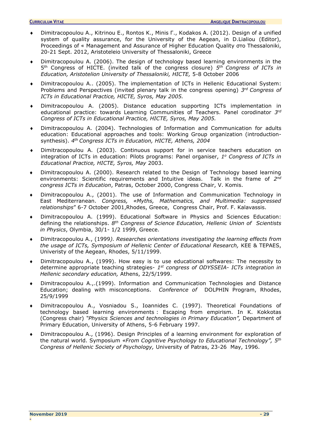- Dimitracopoulou Α., Κitrinou Ε., Rontos Κ., Μinis Γ., Κodakos Α. (2012). Design of a unified system of quality assurance, for the University of the Aegean, in D.Lialiou (Editor), Proceedings of « Management and Assurance of Higher Education Quality στο Thessaloniki, 20-21 Sept. 2012, Aristoteleio University of Thessaloniki, Greece
- Dimitracopoulou A. (2006). The design of technology based learning environments in the 5 th Congress of HICTE. (invited talk of the congress closure) *5 th Congress of ICTs in Education, Aristotelion University of Thessaloniki, HICTE,* 5-8 Οctober 2006
- Dimitracopoulou A.. (2005). The implementation of ICTs in Hellenic Educational System: Problems and Perspectives (invited plenary talk in the congress opening) *3 rd Congress of ICTs in Educational Practice, HICTE, Syros, May 2005.*
- Dimitracopoulou A. (2005). Distance education supporting ICTs implementation in educational practice: towards Learning Communities of Teachers. Panel corodinator *3 rd Congress of ICTs in Educational Practice, HICTE, Syros, May 2005.*
- Dimitracopoulou A. (2004). Technologies of Information and Communication for adults education: Educational approaches and tools: Working Group organization (introductionsynthesis). *4 th Congress ICTs in Education, HICTE, Athens, 2004*
- Dimitracopoulou A. (2003). Continuous support for in service teachers education on integration of ICTs in education: Pilots programs: Panel organiser, 1<sup>o</sup> Congress of ICTs in *Educational Practice, HICTE, Syros, May* 2003.
- Dimitracopoulou A. (2000). Research related to the Design of Technology based learning environments: Scientific requirements and Intuitive ideas. Talk in the frame of 2<sup>nd</sup> *congress ICTs in Education*, Patras, October 2000, Congress Chair, V. Komis.
- Dimitracopoulou A., (2001). Τhe use of Information and Communication Technology in East Mediterranean. *Congress, «Myths, Mathematics, and Multimedia: suppressed relationships*" 6-7 October 2001,Rhodes, Greece, Congress Chair, Prof. F. Kalavassis.
- Dimitracopoulou A. (1999). Educational Software in Physics and Sciences Education: defining the relationships. *8 th Congress of Science Education, Hellenic Union of Scientists in Physics*, Olymbia, 30/1- 1/2 1999, Greece.
- Dimitracopoulou A., (1999*). Researches orientations investigating the learning effects from the usage of ICTs, Symposium of Hellenic Center of Educational Research,* KEE & TEPAES, Univeristy of the Aegean, Rhodes, 5/11/1999.
- Dimitracopoulou A., (1999). How easy is to use educational softwares: The necessity to determine appropriate teaching strategies- *1 st congress of ODYSSEIA- ICTs integration in Hellenic secondary education,* Athens, 22/5/1999.
- Dimitracopoulou A.,.(1999). Information and Communication Technologies and Distance Education; dealing with misconceptions. *Conference of* DOLPHIN Program, Rhodes, 25/9/1999
- Dimitracopoulou A., Vosniadou S., Ioannides C. (1997). Theoretical Foundations of technology based learning environments : Escaping from empirism. In K. Kokkotas (Congress chair) *"Physics Sciences and technologies in Primary Education",* Department of Primary Education, University of Athens, 5-6 February 1997.
- Dimitracopoulou A., (1996). Design Principles of a learning environment for exploration of the natural world. Symposium *«From Cognitive Psychology to Educational Technology", 5th Congress of Hellenic Society of Psychology,* University of Patras, 23-26 May, 1996.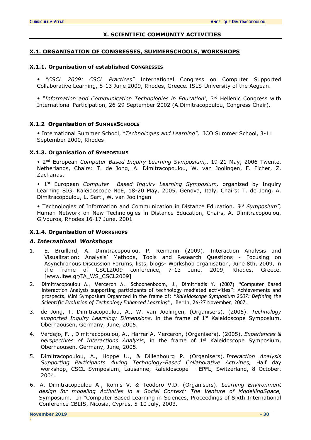#### **X. SCIENTIFIC COMMUNITY ACTIVITIES**

#### <span id="page-29-1"></span><span id="page-29-0"></span>**X.1. ORGANISATION OF CONGRESSES, SUMMERSCHOOLS, WORKSHOPS**

### **X.1.1. Organisation of established CONGRESSES**

 "*CSCL 2009: CSCL Practices"* International Congress on Computer Supported Collaborative Learning, 8-13 June 2009, Rhodes, Greece. ISLS-University of the Aegean.

 *"Information and Communication Technologies in Education'*, 3rd Hellenic Congress with International Participation, 26-29 September 2002 (A.Dimitracopoulou, Congress Chair).

#### **X.1.2 Organisation of SUMMERSCHOOLS**

 International Summer School, "*Technologies and Learning",* ICO Summer School, 3-11 September 2000, Rhodes

#### **X.1.3. Organisation of SYMPOSIUMS**

 2 nd European *Computer Based Inquiry Learning Symposium,*, 19-21 May, 2006 Twente, Netherlands, Chairs: T. de Jong, A. Dimitracopoulou, W. van Joolingen, F. Ficher, Z. Zacharias.

 1 st European *Computer Based Inquiry Learning Symposium,* organized by Inquiry Learning SIG, Kaleidoscope NoE, 18-20 May, 2005, Genova, Italy, Chairs: T. de Jong, A. Dimitracopoulou, L. Sarti, W. van Joolingen

 Technologies of Information and Communication in Distance Education. *3 rd Symposium",*  Human Network on New Technologies in Distance Education, Chairs, A. Dimitracopoulou, G.Vouros, Rhodes 16-17 June, 2001

## **X.1.4. Organisation of WORKSHOPS**

#### *A. International Workshops*

- 1. E. Bruillard, A. Dimitracopoulou, P. Reimann (2009). Interaction Analysis and Visualization: Analysis' Methods, Tools and Research Questions - Focusing on Asynchronous Discussion Forums, lists, blogs- Workshop organisation, June 8th, 2009, in the frame of CSCL2009 conference, 7-13 June, 2009, Rhodes, Greece. [www.ltee.gr/IA\_WS\_CSCL2009]
- 2. [Dimitracopoulou](http://www.ltee.gr/adimitr) A., Merceron A., Schoonenboom, J., Dimitriadis Y. (2007) "Computer Based Interaction Analysis supporting participants of technology mediated activities": Achievements and prospects, Mini Symposium Organized in the frame of: *"[Kaleidoscope Symposium 2007:](http://www.noe-kaleidoscope.org/group/symposium/) Defining the Scientific Evolution of Technology Enhanced Learning"*, Berlin, 26-27 November, 2007.
- 3. de Jong, T. Dimitracopoulou, A., W. van Joolingen, (Organisers). (2005). *Technology supported Inquiry Learning: Dimensions.* in the frame of 1st Kaleidoscope Symposium, Oberhaousen, Germany, June, 2005.
- 4. Verdejo, F. , Dimitracopoulou, A., Harrer A. Merceron, (Organisers). (2005). *Experiences & perspectives of Interactions Analysis*, in the frame of 1st Kaleidoscope Symposium, Oberhaousen, Germany, June, 2005.
- 5. Dimitracopoulou, A., Hoppe U., & Dillenbourg P. (Organisers). *Interaction Analysis Supporting Participants during Technology-Based Collaborative Activities,* Half day workshop, CSCL Symposium, Lausanne, Kaleidoscope – EPFL, Switzerland, 8 October, 2004.
- 6. A. Dimitracopoulou A., Komis V. & Teodoro V.D. (Organisers). *Learning Environment design for modeling Activities in a Social Context: The Venture of ModellingSpace,* Symposium. In "Computer Based Learning in Sciences, Proceedings of Sixth International Conference CBLIS, Nicosia, Cyprus, 5-10 July, 2003.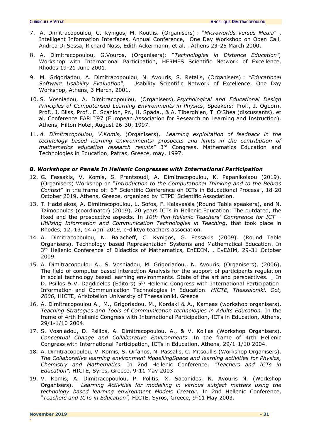- 7. A. Dimitracopoulou, C. Kynigos, M. Koutlis. (Organisers) : "*Microworlds versus Media*" , Intelligent Information Interfaces, Annual Conference, Οne Day Workshop on Open Call, Andrea Di Sessa, Richard Noss, Edith Ackermann, et al. , Athens 23-25 March 2000.
- 8. A. Dimitracopoulou, G.Vouros, (Organisers): "*Technologies in Distance Education",* Workshop with International Participation, HERMES Scientific Network of Excellence, Rhodes 19-21 June 2001.
- 9. M. Grigoriadou, A. Dimitracopoulou, N. Avouris, S. Retalis, (Organisers) : "*Educational Software Usability Evaluation*", Usability Scientific Network of Excellence, One Day Workshop, Athens, 3 March, 2001.
- 10. S. Vosniadou, A. Dimitracopoulou, (Organisers), *Psychological and Educational Design Principles of Computerised Learning Environments in Physics*, Speakers: Prof., J. Ogborn, Prof., J. Bliss, Prof., E. Scanlon, Pr., H. Spada., & A. Tiberghien, T. O'Shea (discussants), et al. Conference EARLI'97 (European Association for Research on Learning and Instruction), Athens, Hilton Hotel, August 26-30, 1997.
- 11. *A. Dimitracopoulou, V.Komis,* (Organisers), *Learning exploitation of feedback in the technology based learning environments: prospects and limits in the contribution of*  mathematics education research results<sup>"</sup> 3<sup>rd</sup> Congress, Mathematics Education and Technologies in Education, Patras, Greece, may, 1997.

## *B. Workshops or Panels In Hellenic Congresses with International Participation*

- 12. G. Fessakis, V. Komis, S. Prantsoudi, A. Dimitracopoulou, K. Papanikolaou (2019). (Organisers) Workshop on "*Introduction to the Computational Thinking and to the Bebras Contest*" in the frame of: 6th Scientific Conference on ICTs in Educational Process", 18-20 October 2019, Athens, Greece, organized by 'ETPE' Scientific Association.
- 13. T. Hadzilakos, A. Dimitracopoulou, L. Sofos, F. Kalavassis (Round Table speakers), and N. Tzimopoulos (coordinator) (2019). 20 years ICTs in Hellenic Education: The outdated, the fixed and the prospective aspects. In *10th Pan-Hellenic Teachers' Conference for ICT – Utilizing Information and Communication Technologies in Teaching*, that took place in Rhodes, 12, 13, 14 April 2019, e-diktyo teachers association.
- 14. Α. Dimitracopoulou, N. Balacheff, C. Kynigos, G. Fessakis (2009). (Round Table Organisers). Technology based Representation Systems and Mathematical Education. In 3 rd Hellenic Conference of Didactics of Mathematics, EnEDIM, , ΕνΕΔΙΜ, 29-31 October 2009.
- 15. A. Dimitracopoulou A,, S. Vosniadou, M. Grigoriadou,, N. Avouris, (Organisers). (2006), The field of computer based interaction Analysis for the support of participants regulation in social technology based learning environments. State of the art and perspectives. *In* D. Psillos & V. Dagdidelos (Editors) 5<sup>th</sup> Hellenic Congress with International Participation: Information and Communication Technologies in Education. *HICTE, Thessaloniki, Oct, 2006,* HICTE, Aristotelion University of Thessaloniki, Greece
- 16. A. Dimitracopoulou A., M., Grigoriadou, M., Kordaki & A., Kameas (workshop organisers). *Teaching Strategies and Tools of Communication technologies in Adults Education.* In the frame of 4rth Hellenic Congress with International Participation, ICTs in Education, Athens, 29/1-1/10 2004.
- 17. S. Vosniadou, D. Psillos, A. Dimitracopoulou, A., & V. Kollias (Workshop Organisers). *Conceptual Change and Collaborative Environments.* In the frame of 4rth Hellenic Congress with International Participation, ICTs in Education, Athens, 29/1-1/10 2004.
- 18. A. Dimitracopoulou, V. Komis, S. Orfanos, N. Passalis, C. Mitsoullis (Workshop Organisers). *The Collaborative learning environment ModellingSpace and learning activities for Physics, Chemistry and Mathematics.* In 2nd Hellenic Conference, *"Teachers and ICTs in Education",* HICTE, Syros, Greece, 9-11 May 2003
- 19. V. Komis, A. Dimitracopoulou, P. Politis, X. Saconides, N. Avouris N. (Workshop Organisers). *Learning Activities for modelling in various subject matters using the technology based learning environment Models Creator*. In 2nd Hellenic Conference, *"Teachers and ICTs in Education",* HICTE, Syros, Greece, 9-11 May 2003.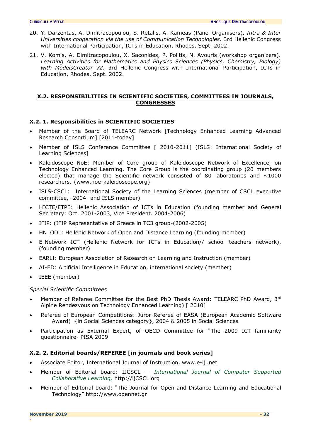- 20. Y. Darzentas, A. Dimitracopoulou, S. Retalis, A. Kameas (Panel Organisers). *Intra & Inter Universities cooperation via the use of Communication Technologies.* 3rd Hellenic Congress with International Participation, ICTs in Education, Rhodes, Sept. 2002.
- 21. V. Komis, A. Dimitracopoulou, X. Saconides, P. Politis, N. Avouris (workshop organizers). *Learning Activities for Mathematics and Physics Sciences (Physics, Chemistry, Biology) with ModelsCreator V2.* 3rd Hellenic Congress with International Participation, ICTs in Education, Rhodes, Sept. 2002.

## <span id="page-31-0"></span>**X.2. RESPONSIBILITIES IN SCIENTIFIC SOCIETIES, COMMITTEES IN JOURNALS, CONGRESSES**

## <span id="page-31-1"></span>**X.2. 1. Responsibilities in SCIENTIFIC SOCIETIES**

- Μember of the Board of TELEARC Network [Technology Enhanced Learning Advanced Research Consortium] [2011-today]
- Member of ISLS Conference Committee [ 2010-2011] (ISLS: International Society of Learning Sciences]
- Kaleidoscope NoE: Member of Core group of Κaleidoscope Network of Excellence, on Technology Enhanced Learning. The Core Group is the coordinating group (20 members elected) that manage the Scientific network consisted of 80 laboratories and  $\sim$ 1000 researchers. {www.noe-kaleidoscope.org}
- ISLS-CSCL: International Society of the Learning Sciences (member of CSCL executive committee, -2004- and ISLS member)
- HICTE/ETPE: Hellenic Association of ICTs in Education (founding member and General Secretary: Oct. 2001-2003, Vice President. 2004-2006)
- IFIP: (IFIP Representative of Greece in TC3 group-(2002-2005)
- HN\_ODL: Hellenic Network of Open and Distance Learning (founding member)
- E-Network ICT (Hellenic Network for ICTs in Education// school teachers network), (founding member)
- EARLI: European Association of Research on Learning and Instruction (member)
- AI-ED: Artificial Intelligence in Education, international society (member)
- IEEE (member)

## *Special Scientific Committees*

- Member of Referee Committee for the Best PhD Thesis Award: TELEARC PhD Award, 3rd Alpine Rendezvous on Technology Enhanced Learning) [ 2010]
- Referee of European Competitions: Juror-Referee of EASA (European Academic Software Award) {in Social Sciences category}, 2004 & 2005 in Social Sciences
- Participation as External Expert, of OECD Committee for "The 2009 ICT familiarity questionnaire- PISA 2009

## <span id="page-31-2"></span>**X.2. 2. Editorial boards/REFEREE [in journals and book series]**

- Associate Editor, International Journal of Instruction, www.e-iji.net
- Member of Editorial board: IJCSCL *International Journal of Computer Supported Collaborative Learning,* [http://ijCSCL.org](http://ijcscl.org/)
- Member of Editorial board: "The Journal for Open and Distance Learning and Educational Technology" http://www.opennet.gr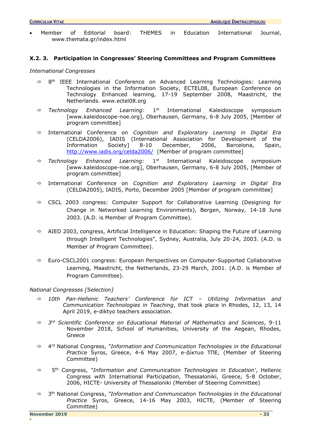<span id="page-32-0"></span>• Member of Editorial board: THEMES in Education International Journal, www.themata.gr/index.html

### **X.2. 3. Participation in Congresses' Steering Committees and Program Committees**

#### *International Congresses*

- $\Rightarrow$  8<sup>th</sup> IEEE International Conference on Advanced Learning Technologies: Learning Technologies in the Information Society, ECTEL08, European Conference on Technology Enhanced learning, 17-19 September 2008, Maastricht, the Netherlands. www.ectel08.org
- $\Rightarrow$  Technology Enhanced Learning: 1<sup>st</sup> International Kaleidoscope symposium [www.kaleidoscope-noe.org], Oberhausen, Germany, 6-8 July 2005, [Member of program committee]
- International Conference on *Cognition and Exploratory Learning in Digital Era* (CELDA2006), IADIS (International Association for Development of the Information Society] 8-10 December, 2006, Barcelona, Spain, <http://www.iadis.org/celda2006/>[Member of program committee]
- *Technology Enhanced Learning:* 1 1st International Kaleidoscope symposium [www.kaleidoscope-noe.org], Oberhausen, Germany, 6-8 July 2005, [Member of program committee]
- International Conference on *Cognition and Exploratory Learning in Digital Era* (CELDA2005), IADIS, Porto, December 2005 [Member of program committee]
- $\Rightarrow$  CSCL 2003 congress: Computer Support for Collaborative Learning (Designing for Change in Networked Learning Environments), Bergen, Norway, 14-18 June 2003. (A.D. is Member of Program Committee).
- $\Rightarrow$  AIED 2003, congress, Artificial Intelligence in Education: Shaping the Future of Learning through Intelligent Technologies", Sydney, Australia, July 20-24, 2003. (A.D. is Member of Program Committee).
- $\Rightarrow$  Euro-CSCL2001 congress: European Perspectives on Computer-Supported Collaborative Learning, Maastricht, the Netherlands, 23-29 March, 2001. (A.D. is Member of Program Committee).

## *National Congresses [Selection]*

- *10th Pan-Hellenic Teachers' Conference for ICT – Utilizing Information and Communication Technologies in Teaching*, that took place in Rhodes, 12, 13, 14 April 2019, e-diktyo teachers association.
- *3 rd Scientific Conference on Educational Material of Mathematics and Sciences*, 9-11 November 2018, School of Humanities, University of the Aegean, Rhodes, Greece
- $\Rightarrow$  4<sup>rd</sup> National Congress, "Information and Communication Technologies in the Educational *Practice* Syros, Greece, 4-6 May 2007, e-Δίκτυο ΤΠΕ, (Member of Steering Committee)
- 5 th Congress, *"Information and Communication Technologies in Education'*, Hellenic Congress with International Participation, Thessaloniki, Greece, 5-8 October, 2006, HICTE- University of Thessaloniki (Member of Steering Committee)
- 3 th National Congress, *"Information and Communication Technologies in the Educational Practice* Syros, Greece, 14-16 May 2003, HICTE, (Member of Steering Committee)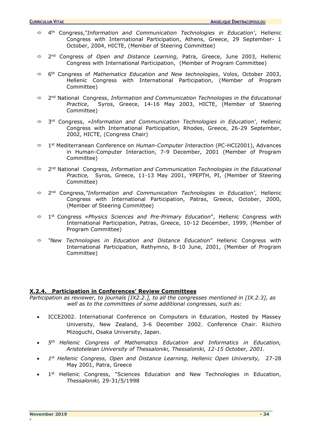- 4 th Congress,*"Information and Communication Technologies in Education'*, Hellenic Congress with International Participation, Athens, Greece, 29 September- 1 October, 2004, HICTE, (Member of Steering Committee)
- 2 nd Congress of *Open and Distance Learning,* Patra, Greece, June 2003, Hellenic Congress with International Participation, (Member of Program Committee)
- 6 th Congress of *Mathematics Education and New technologies*, Volos, October 2003, Hellenic Congress with International Participation, (Member of Program Committee)
- $\Rightarrow$  2<sup>nd</sup> National Congress, *Information and Communication Technologies in the Educational Practice*, Syros, Greece, 14-16 May 2003, HICTE, (Member of Steering Committee)
- 3 rd Congress, *«Information and Communication Technologies in Education'*, Hellenic Congress with International Participation, Rhodes, Greece, 26-29 September, 2002, HICTE, (Congress Chair)
- 1 st Mediterranean Conference on *Human-Computer Interaction* (PC-HCI2001), Advances in Human-Computer Interaction, 7-9 December, 2001 (Member of Program Committee)
- 2 nd National Congress, *Information and Communication Technologies in the Educational Practice,* Syros, Greece, 11-13 May 2001, YPEPTH, PI, (Member of Steering Committee)
- $⇒$  2<sup>nd</sup> Congress,"*Information and Communication Technologies in Education'*, Hellenic Congress with International Participation, Patras, Greece, October, 2000, (Member of Steering Committee)
- 1 st Congress «*Physics Sciences and Pre-Primary Education*", Hellenic Congress with International Participation, Patras, Greece, 10-12 December, 1999, (Member of Program Committee)
- *"New Technologies in Education and Distance Education*" Hellenic Congress with International Participation, Rethymno, 8-10 June, 2001, (Member of Program Committee)

## <span id="page-33-0"></span>**X.2.4. Participation in Conferences' Review Committees**

*Participation as reviewer, to journals [IX2.2.], to all the congresses mentioned in [IX.2.3], as well as to the committees of some additional congresses, such as:*

- ICCE2002. International Conference on Computers in Education, Hosted by Massey University, New Zealand, 3-6 December 2002. Conference Chair. Riichiro Mizoguchi, Osaka University, Japan.
- *5 th Hellenic Congress of Mathematics Education and Informatics in Education, Aristoteleian University of Thessaloniki, Thessaloniki, 12-15 October, 2001.*
- *1 st Hellenic Congress, Open and Distance Learning, Hellenic Open University,* 27-28 May 2001, Patra, Greece
- $\bullet$  1<sup>st</sup> Hellenic Congress, "Sciences Education and New Technologies in Education, *Thessaloniki,* 29-31/5/1998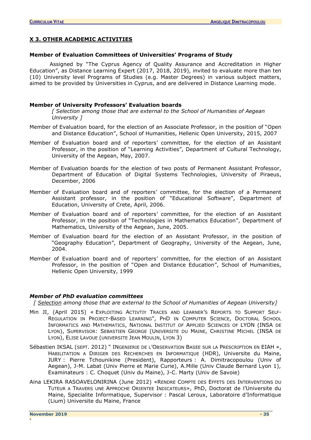#### <span id="page-34-0"></span>**X 3. OTHER ACADEMIC ACTIVITIES**

#### <span id="page-34-1"></span>**Member of Evaluation Committees of Universities' Programs of Study**

 Assigned by "The Cyprus Agency of Quality Assurance and Accreditation in Higher Education", as Distance Learning Expert (2017, 2018, 2019), invited to evaluate more than ten (10) University level Programs of Studies (e.g. Master Degrees) in various subject matters, aimed to be provided by Universities in Cyprus, and are delivered in Distance Learning mode.

#### **Member of University Professors' Evaluation boards**

*[ Selection among those that are external to the School of Humanities of Aegean University ]*

- Member of Evaluation board, for the election of an Associate Professor, in the position of "Open and Distance Education", School of Humanities, Hellenic Open University, 2015, 2007
- Member of Evaluation board and of reporters' committee, for the election of an Assistant Professor, in the position of "Learning Activities", Department of Cultural Technology, University of the Aegean, May, 2007.
- Member of Evaluation boards for the election of two posts of Permanent Assistant Professor, Department of Education of Digital Systems Technologies, University of Piraeus, December, 2006
- Member of Evaluation board and of reporters' committee, for the election of a Permanent Assistant professor, in the position of "Educational Software", Department of Education, University of Crete, April, 2006.
- Member of Evaluation board and of reporters' committee, for the election of an Assistant Professor, in the position of "Technologies in Mathematics Education", Department of Mathematics, University of the Aegean, June, 2005.
- Member of Evaluation board for the election of an Assistant Professor, in the position of "Geography Education", Department of Geography, University of the Aegean, June, 2004.
- Member of Evaluation board and of reporters' committee, for the election of an Assistant Professor, in the position of "Open and Distance Education", School of Humanities, Hellenic Open University, 1999

#### <span id="page-34-2"></span>*Member of PhD evaluation committees*

*[ Selection among those that are external to the School of Humanities of Aegean University]*

- Min JI, (April 2015) « EXPLOITING ACTIVTIY TRACES AND LEARNER'S REPORTS TO SUPPORT SELF-REGULATION IN PROJECT-BASED LEARNING", PHD IN COMPUTER SCIENCE, DOCTORAL SCHOOL INFORMATICS AND MATHEMATICS, NATIONAL INSTITUT OF APPLIED SCIENCES OF LYON (INSA DE LYON), SUPERVISOR: SEBASTIEN GEORGE (UNIVERSITE DU MAINE, CHRISTINE MICHEL (INSA DE LYON), ELISE LAVOUE (UNIVERSITE JEAN MOULIN, LYON 3)
- Sébastien IKSAL (SEPT. 2012) " INGENIERIE DE L'OBSERVATION BASEE SUR LA PRESCRIPTION EN EIAH », HABILITATION A DIRIGER DES RECHERCHES EN INFORMATIQUE (HDR), Universite du Maine, JURY : Pierre Tchounikine (President), Rapporteurs : A. Dimitracopoulou (Univ of Aegean), J-M. Labat (Univ Pierre et Marie Curie), A.Mille (Univ Claude Bernard Lyon 1), Examinateurs : C. Choquet (Univ du Maine), J-C. Marty (Univ de Savoie)
- Aina LEKIRA RASOAVELONIRINA (June 2012) «RENDRE COMPTE DES EFFETS DES INTERVENTIONS DU TUTEUR A TRAVERS UNE APPROCHE ORIENTEE INDICATEURS», PhD, Doctorat de l'Universite du Maine, Specialite Informatique, Supervisor : Pascal Leroux, Laboratoire d'Informatique (Lium) Universite du Maine, France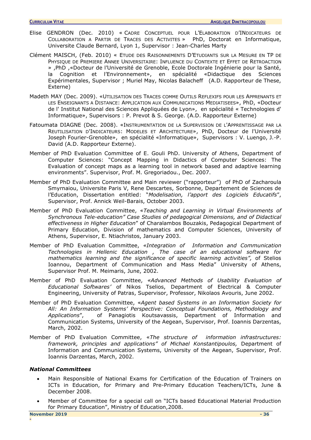- Elise GENDRON (Dec. 2010) « CADRE CONCEPTUEL POUR L'ELABORATION D'INDICATEURS DE COLLABORATION A PARTIR DE TRACES DES ACTIVITES » PhD, Doctorat en Informatique, Universite Claude Bernard, Lyon 1, Supervisor : Jean-Charles Marty
- Clément MAISCH, (Feb. 2010) « ETUDE DES RAISONNEMENTS D'ETUDIANTS SUR LA MESURE EN TP DE PHYSIQUE DE PREMIERE ANNEE UNIVERSITAIRE: INFLUENCE DU CONTEXTE ET EFFET DE RETROACTION » ,PhD ,«Docteur de l'Université de Grenoble, Ecole Doctorale Ingénierie pour la Santé, la Cognition et l'Environnement», en spécialité «Didactique des Sciences Expérimentales, Supervisor ; Muriel May, Nicolas Balacheff (A.D. Rapporteur de These, Externe)
- Madeth MAY (Dec. 2009). «UTILISATION DES TRACES COMME OUTILS REFLEXIFS POUR LES APPRENANTS ET LES ENSEIGNANTS A DISTANCE: APPLICATION AUX COMMUNICATIONS MEDIATISEES», PhD, «Docteur de l' Institut National des Sciences Appliquées de Lyon», en spécialité « Technologies d' Informatique», Supervisors : P. Prevot & S. George. (A.D. Rapporteur Externe)
- Fatoumata DIAGNE (Dec. 2008). «INSTRUMENTATION DE LA SUPERVISION DE L'APPRENTISSAGE PAR LA REUTILISATION D'INDICATEURS: MODELES ET ARCHITECTURE», PhD, Docteur de l'Université Joseph Fourier-Grenoble», en spécialité «Informatique», Supervisors : V. Luengo, J.-P. David (A.D. Rapporteur Externe).
- Member of PhD Evaluation Committee of E. Gouli PhD. University of Athens, Department of Computer Sciences: "Concept Mapping in Didactics of Computer Sciences: The Evaluation of concept maps as a learning tool in network based and adaptive learning environments". Supervisor, Prof. M. Gregoriadou., Dec. 2007.
- Member of PhD Evaluation Committee and Main reviewer ("rapporteur") of PhD of Zacharoula Smyrnaiou, Universite Paris V, Rene Descartes, Sorbonne, Departement de Sciences de l'Education, Dissertation entitled: "*Modelisation, l'apport des Logiciels Educatifs*", Supervisor, Prof. Annick Weil-Barais, October 2003.
- Member of PhD Evaluation Committee, «*Teaching and Learning in Virtual Environments of Synchronous Tele-education" Case Studies of pedagogical Dimensions, and of Didactical effectiveness in Higher Education*" of Charalambos Bouzakis, Pedagogical Department of Primary Education, Division of mathematics and Computer Sciences, University of Athens, Supervisor, E. Ntiachristos, January 2003.
- Member of PhD Evaluation Committee, *«Integration of Information and Communication Technologies in Hellenic Education , The case of an educational software for mathematics learning and the significance of specific learning activities",* of Stelios Ioannou, Department of Communication and Mass Media" University of Athens, Supervisor Prof. M. Meimaris, June, 2002.
- Member of PhD Evaluation Committee, *«Advanced Methods of Usability Evaluation of Educational Softwares'* of Nikos Tselios, Department of Electrical & Computer Engineering, University of Patras, Supervisor, Professor, Nikolaos Avouris, June 2002.
- Member of PhD Evaluation Committee, «*Agent based Systems in an Information Society for All: An Information Systems' Perspective: Conceptual Foundations, Methodology and Applications*", of Panagiotis Koutsavassis, Department of Information and Communication Systems, University of the Aegean, Supervisor, Prof. Ioannis Darzentas, March, 2002.
- Member of PhD Evaluation Committee, «*The structure of information infrastructures: framework, principles and applications" of Michael Konstantipoulos,* Department of Information and Communication Systems, University of the Aegean, Supervisor, Prof. Ioannis Darzentas, March, 2002.

## <span id="page-35-0"></span>*National Committees*

- Main Responsible of National Exams for Certification of the Education of Trainers on ICTs in Education, for Primary and Pre-Primary Education Teachers/ICTs, June & December 2008.
- Member of Committee for a special call on "ICTs based Educational Material Production for Primary Education", Ministry of Education,2008.

**-**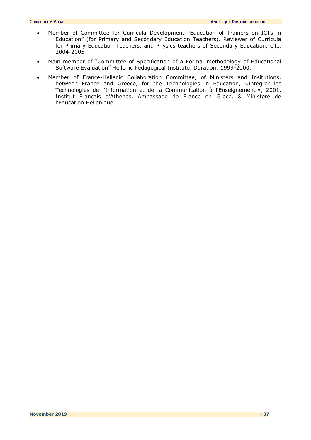- Member of Committee for Curricula Development "Education of Trainers on ICTs in Education" (for Primary and Secondary Education Teachers). Reviewer of Curricula for Primary Education Teachers, and Physics teachers of Secondary Education, CTI, 2004-2005
- Main member of "Committee of Specification of a Formal methodology of Educational Software Evaluation" Hellenic Pedagogical Institute, Duration: 1999-2000.
- Member of France-Hellenic Collaboration Committee, of Ministers and Insitutions, between France and Greece, for the Technologies in Education, «Intégrer les Technologies de l'Ιnformation et de la Communication à l'Enseignement », 2001, Institut Francais d'Athenes, Ambassade de France en Grece, & Ministere de l'Education Hellenique.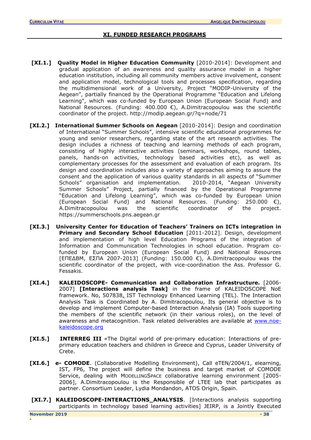## **XI. FUNDED RESEARCH PROGRAMS**

- <span id="page-37-0"></span>**[XI.1.] Quality Model in Higher Education Community** [2010-2014]: Development and gradual application of an awareness and quality assurance model in a higher education institution, including all community members active involvement, consent and application model, technological tools and processes specification, regarding the multidimensional work of a University, Project "MODIP-University of the Aegean", partially financed by the Operational Programme "Education and Lifelong Learning", which was co-funded by European Union (European Social Fund) and National Resources. (Funding: 400.000  $\epsilon$ ), A.Dimitracopoulou was the scientific coordinator of the project. http://modip.aegean.gr/?q=node/71
- **[XI.2.] International Summer Schools on Aegean** [2010-2014]: Design and coordination of International "Summer Schools", intensive scientific educational programmes for young and senior researchers, regarding state of the art research activities. The design includes a richness of teaching and learning methods of each program, consisting of highly interactive activities (seminars, workshops, round tables, panels, hands-on activities, technology based activities etc), as well as complementary processes for the assessment and evaluation of each program. Its design and coordination includes also a variety of approaches aiming to assure the consent and the application of various quality standards in all aspects of "Summer Schools" organisation and implementation. 2010-2014, "Aegean University Summer Schools" Project, partially financed by the Operational Programme "Education and Lifelong Learning", which was co-funded by European Union (European Social Fund) and National Resources. (Funding: 250.000  $\epsilon$ ), A.Dimitracopoulou was the scientific coordinator of the project. https://summerschools.pns.aegean.gr
- **[XI.3.] University Center for Education of Teachers' Trainers on ICTs integration in Primary and Secondary School Education** [2011-2012]. Design, development and implementation of high level Education Programs of the integration of Information and Communication Technologies in school education. Program cofunded by European Union (European Social Fund) and National Resources [EΠΕΔΒΜ, ΕΣΠΑ 2007-2013] (Funding: 150.000 €), A.Dimitracopoulou was the scientific coordinator of the project, with vice-coordination the Ass. Professor G. Fessakis.
- **[XI.4.] KALEIDOSCOPE- Communication and Collaboration Infrastructure.** [2006- 2007] **[Interactions analysis Task]** in the frame of KALEIDOSCOPE NoE framework. No, 507838, IST Technology Enhanced Learning (TEL). The Interaction Analysis Task is Coordinated by A. Dimitracopoulou, Its general objective is to develop and implement Computer-based Interaction Analysis (IA) Tools supporting the members of the scientific network (in their various roles), on the level of awareness and metacognition. Task related deliverables are available at [www.noe](http://www.noe-kaleidoscope.org/)[kaleidoscope.org](http://www.noe-kaleidoscope.org/)
- **[XI.5.] INTERREG III** «The Digital world of pre-primary education: Interactions of preprimary education teachers and children in Greece and Cyprus, Leader University of Crete.
- **[XI.6.] e- COMODE**. (Collaborative Modelling Environment), Call eTEN/2004/1, elearning, IST, FP6, The project will define the business and target market of COMODE Service, dealing with MODELLINGSPACE collaborative learning environment [2005- 2006], A.Dimitracopoulou is the Responsible of LTEE lab that participates as partner. Consortium Leader, Lydia Mondandon, ATOS Origin, Spain.
- **[XI.7.] KALEIDOSCOPE-INTERACTIONS\_ANALYSIS**. [Interactions analysis supporting participants in technology based learning activities] JEIRP, is a Jointly Executed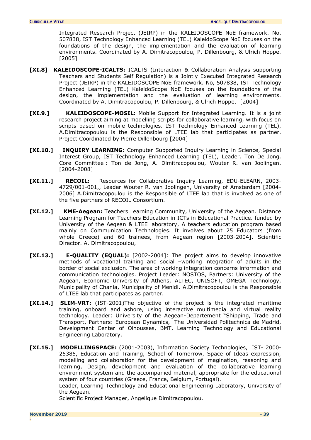Integrated Research Project (JEIRP) in the KALEIDOSCOPE NoE framework. No, 507838, IST Technology Enhanced Learning (TEL) KaleidoScope NoE focuses on the foundations of the design, the implementation and the evaluation of learning environments. Coordinated by A. Dimitracopoulou, P. Dillenbourg, & Ulrich Hoppe. [2005]

- **[XI.8] KALEIDOSCOPE-ICALTS:** ICALTS (Interaction & Collaboration Analysis supporting Teachers and Students Self Regulation) is a Jointly Executed Integrated Research Project (JEIRP) in the KALEIDOSCOPE NoE framework. No, 507838, IST Technology Enhanced Learning (TEL) KaleidoScope NoE focuses on the foundations of the design, the implementation and the evaluation of learning environments. Coordinated by A. Dimitracopoulou, P. Dillenbourg, & Ulrich Hoppe. [2004]
- **[XI.9.] KALEIDOSCOPE-MOSIL:** Mobile Support for Integrated Learning. It is a joint research project aiming at modelling scripts for collaborative learning, with focus on scripts based on mobile technologies. IST Technology Enhanced Learning (TEL), A.Dimitracopoulou is the Responsible of LTEE lab that participates as partner. Project Coordinated by Pierre Dillenbourg [2004]
- **[XI.10.] INQUIRY LEARNING:** Computer Supported Inquiry Learning in Science, Special Interest Group, IST Technology Enhanced Learning (TEL), Leader. Ton De Jong. Core Committee : Ton de Jong, A. Dimitracopoulou, Wouter R. van Joolingen. [2004-2008]
- **[XI.11.] RECOIL:** Resources for Collaborative Inquiry Learning, EDU-ELEARN, 2003- 4729/001-001,, Leader Wouter R. van Joolingen, University of Amsterdam [2004- 2006] A.Dimitracopoulou is the Responsible of LTEE lab that is involved as one of the five partners of RECOIL Consortium.
- **[XI.12.] KME-Aegean:** Teachers Learning Community, University of the Aegean. Distance Learning Program for Teachers Education in ICTs in Educational Practice. funded by University of the Aegean & LTEE laboratory, A teachers education program based mainly on Communication Technologies. It involves about 25 Educators (from whole Greece) and 60 trainees, from Aegean region [2003-2004]. Scientific Director. A. Dimitracopoulou,
- **[XI.13.] E-QUALITY (EQUAL):** [2002-2004]: The project aims to develop innovative methods of vocational training and social –working integration of adults in the border of social exclusion. The area of working integration concerns information and communication technologies. Project Leader: NOSTOS, Partners: University of the Aegean, Economic University of Athens, ALTEC, UNISOFT, OMEGA Technology, Municipality of Chania, Municipality of Menidi. A.Dimitracopoulou is the Responsible of LTEE lab that participates as partner.
- **[XI.14.] SLIM-VRT:** (IST-2001)The objective of the project is the integrated maritime training, onboard and ashore, using interactive multimedia and virtual reality technology. Leader: University of the Aegean-Departement "Shipping, Trade and Transport, Partners: European Dynamics, The Universidad Politechnica de Madrid, Development Center of Oinousses, BMT, Learning Technology and Educational Engineering Laboratory.
- **[XI.15.] [MODELLINGSPACE:](http://www.modellingspace.com/)** (2001-2003), Information Society Technologies, IST- 2000- 25385, Education and Training, School of Tomorrow, Space of Ideas expression, modelling and collaboration for the development of imagination, reasoning and learning, Design, development and evaluation of the collaborative learning environment system and the accompanied material, appropriate for the educational system of four countries (Greece, France, Belgium, Portugal).

Leader, Learning Technology and Educational Engineering Laboratory, University of the Aegean.

Scientific Project Manager, Angelique Dimitracopoulou.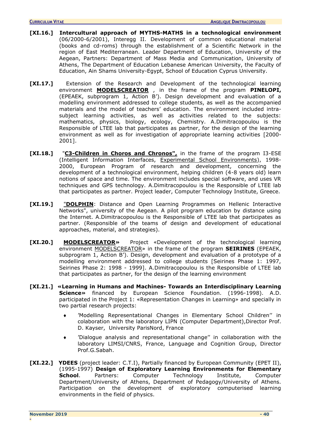- **[XI.16.] Intercultural approach of MYTHS-MATHS in a technological environment** (06/2000-6/2001), Interegg II. Development of common educational material (books and cd-roms) through the establishment of a Scientific Network in the region of East Mediterranean. Leader Department of Education, University of the Aegean, Partners: Department of Mass Media and Communication, University of Athens, The Department of Education Lebanese American University, the Faculty of Education, Ain Shams University-Egypt, School of Education Cyprus University.
- **[XI.17.]** Extension of the Research and Development of the technological learning environment **[MODELSCREATOR](http://www.rhodes.aegean.gr/projects/~DM)** , in the frame of the program **PINELOPI,**  (EPEAEK, subprogram 1, Action B'). Design development and evaluation of a modelling environment addressed to college students, as well as the accompanied materials and the model of teachers' education. The environment included intrasubject learning activities, as well as activities related to the subjects: mathematics, physics, biology, ecology, Chemistry. A.Dimitracopoulou is the Responsible of LTEE lab that participates as partner, for the design of the learning environment as well as for investigation of appropriate learning activities [2000- 2001].
- **[XI.18.]** "**[C3-Children in Choros and Chronos",](http://www.cti.gr/RD3/C3)** in the frame of the program I3-ESE (Intelligent Information Interfaces, Experimental School Environments), 1998-2000, European Program of research and development, concerning the development of a technological environment, helping children (4-8 years old) learn notions of space and time. The environment includes special software, and uses VR techniques and GPS technology. A.Dimitracopoulou is the Responsible of LTEE lab that participates as partner. Project leader, Computer Technology Institute, Greece.
- **[XI.19.]** "**DOLPHIN**: Distance and Open Learning Programmes on Hellenic Interactive Networks", university of the Aegean. A pilot program education by distance using the Internet. A.Dimitracopoulou is the Responsible of LTEE lab that participates as partner. (Responsible of the teams of design and development of educational approaches, material, and strategies).
- **[XI.20.] [MODELSCREATOR](http://www.rhodes.aegean.gr/projects/~DM)»** Project «Development of the technological learning environment [MODELSCREATOR](http://www.rhodes.aegean.gr/projects/~DM)» in the frame of the program **SEIRINES** (EPEAEK, subprogram 1, Action B'). Design, development and evaluation of a prototype of a modelling environment addressed to college students [Seirines Phase 1: 1997, Seirines Phase 2: 1998 - 1999]. A.Dimitracopoulou is the Responsible of LTEE lab that participates as partner, for the design of the learning environment
- **[XI.21.] «Learning in Humans and Machines- Towards an Interdisciplinary Learning Science»** financed by European Science Foundation. (1996-1998). A.D. participated in the Project 1: «Representation Changes in Learning» and specially in two partial research projects:
	- 'Modelling Representational Changes in Elementary School Children'' in colaboration with the laboratory LIPN (Computer Department),Director Prof. D. Kayser, University ParisNord, France
	- 'Dialogue analysis and representational change'' in collaboration with the laboratory LIMSI/CNRS, France, Language and Cognition Group, Director Prof.G.Sabah.
- **[XI.22.] YDEES** (project leader: C.T.I), Partially financed by European Community (EPET II), (1995-1997) **Design of Exploratory Learning Environments for Elementary School**. Partners: Computer Technology Institute, Computer Department/University of Athens, Department of Pedagogy/University of Athens. Participation on the development of exploratory computerised learning environments in the field of physics.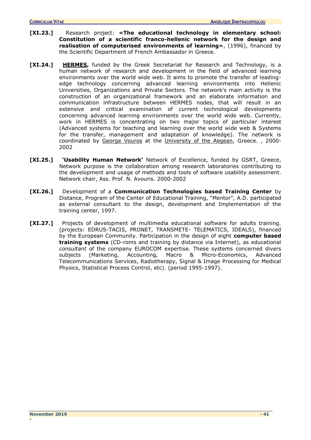- **[XI.23.]** Research project: **«The educational technology in elementary school: Constitution of a scientific franco-hellenic network for the design and realisation of computerised environments of learning»**, (1996), financed by the Scientific Department of French Ambassador in Greece.
- **[XI.24.] [HERMES,](http://www.samos.aegean.gr/icsd/Research/InCoSys/Projects/hermes/default.htm)** funded by the Greek Secretariat for Research and Technology, is a human network of research and development in the field of advanced learning environments over the world wide web. It aims to promote the transfer of leadingedge technology concerning advanced learning environments into Hellenic Universities, Organizations and Private Sectors. The network's main activity is the construction of an organizational framework and an elaborate information and communication infrastructure between HERMES nodes, that will result in an extensive and critical examination of current technological developments concerning advanced learning environments over the world wide web. Currently, work in HERMES is concentrating on two major topics of particular interest (Advanced systems for teaching and learning over the world wide web & Systems for the transfer, management and adaptation of knowledge). The network is coordinated by [George Vouros](mailto:georgev@aegean.gr) at the [University of the Aegean,](http://www.aegean.gr/) Greece. , 2000- 2002
- **[XI.25.] 'Usability Human Network'** Network of Excellence, funded by GSRT, Greece, Network purpose is the collaboration among research laboratories contributing to the development and usage of methods and tools of software usability assessment. Network chair, Ass. Prof. N. Avouris. 2000-2002
- **[XI.26.]** Development of a **Communication Technologies based Training Center** by Distance, Program of the Center of Educational Training, "Mentor", A.D. participated as external consultant to the design, development and Implementation of the training center, 1997.
- [XI.27.] Projects of development of multimedia educational software for adults training. (projects: EDRUS-TACIS, PRONET, TRANSMETE- TELEMATICS, IDEALS), financed by the European Community. Participation in the design of eight **computer based training systems** (CD-roms and training by distance via Internet), as educational *consultant* of the company EUROCOM expertise. These systems concerned divers subjects (Marketing, Accounting, Macro & Micro-Economics, Advanced Telecommunications Services, Radiotherapy, Signal & Image Processing for Medical Physics, Statistical Process Control, etc). (period 1995-1997).